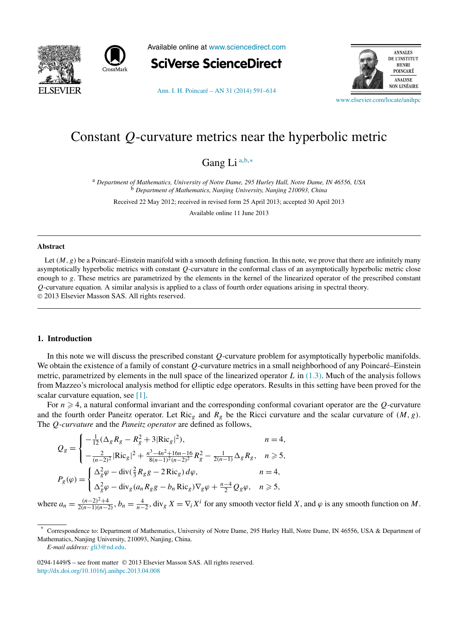



Available online at [www.sciencedirect.com](http://www.sciencedirect.com)



[Ann. I. H. Poincaré – AN 31 \(2014\) 591–614](http://dx.doi.org/10.1016/j.anihpc.2013.04.008)



[www.elsevier.com/locate/anihpc](http://www.elsevier.com/locate/anihpc)

# Constant *Q*-curvature metrics near the hyperbolic metric

Gang Li <sup>a</sup>*,*b*,*<sup>∗</sup>

<sup>a</sup> *Department of Mathematics, University of Notre Dame, 295 Hurley Hall, Notre Dame, IN 46556, USA* <sup>b</sup> *Department of Mathematics, Nanjing University, Nanjing 210093, China*

Received 22 May 2012; received in revised form 25 April 2013; accepted 30 April 2013

Available online 11 June 2013

#### **Abstract**

Let  $(M, g)$  be a Poincaré–Einstein manifold with a smooth defining function. In this note, we prove that there are infinitely many asymptotically hyperbolic metrics with constant *Q*-curvature in the conformal class of an asymptotically hyperbolic metric close enough to *g*. These metrics are parametrized by the elements in the kernel of the linearized operator of the prescribed constant *Q*-curvature equation. A similar analysis is applied to a class of fourth order equations arising in spectral theory. © 2013 Elsevier Masson SAS. All rights reserved.

# **1. Introduction**

In this note we will discuss the prescribed constant *Q*-curvature problem for asymptotically hyperbolic manifolds. We obtain the existence of a family of constant *Q*-curvature metrics in a small neighborhood of any Poincaré–Einstein metric, parametrized by elements in the null space of the linearized operator *L* in [\(1.3\).](#page-2-0) Much of the analysis follows from Mazzeo's microlocal analysis method for elliptic edge operators. Results in this setting have been proved for the scalar curvature equation, see [\[1\].](#page-23-0)

For  $n \geq 4$ , a natural conformal invariant and the corresponding conformal covariant operator are the  $Q$ -curvature and the fourth order Paneitz operator. Let Ric*<sup>g</sup>* and *Rg* be the Ricci curvature and the scalar curvature of *(M, g)*. The *Q*-*curvature* and the *Paneitz operator* are defined as follows,

$$
Q_{g} = \begin{cases} -\frac{1}{12}(\Delta_{g} R_{g} - R_{g}^{2} + 3|\text{Ric}_{g}|^{2}), & n = 4, \\ -\frac{2}{(n-2)^{2}}|\text{Ric}_{g}|^{2} + \frac{n^{3} - 4n^{2} + 16n - 16}{8(n-1)^{2}(n-2)^{2}}R_{g}^{2} - \frac{1}{2(n-1)}\Delta_{g} R_{g}, & n \geq 5, \\ P_{g}(\varphi) = \begin{cases} \Delta_{g}^{2}\varphi - \text{div}(\frac{2}{3}R_{g}g - 2\text{Ric}_{g}) d\varphi, & n = 4, \\ \Delta_{g}^{2}\varphi - \text{div}_{g}(a_{n} R_{g}g - b_{n} \text{Ric}_{g})\nabla_{g}\varphi + \frac{n-4}{2}Q_{g}\varphi, & n \geq 5, \end{cases} \end{cases}
$$

where  $a_n = \frac{(n-2)^2+4}{2(n-1)(n-2)}$ ,  $b_n = \frac{4}{n-2}$ , div<sub>g</sub>  $X = \nabla_i X^i$  for any smooth vector field X, and  $\varphi$  is any smooth function on M.

*E-mail address:* [gli3@nd.edu.](mailto:gli3@nd.edu)

0294-1449/\$ – see front matter © 2013 Elsevier Masson SAS. All rights reserved. <http://dx.doi.org/10.1016/j.anihpc.2013.04.008>

<sup>\*</sup> Correspondence to: Department of Mathematics, University of Notre Dame, 295 Hurley Hall, Notre Dame, IN 46556, USA & Department of Mathematics, Nanjing University, 210093, Nanjing, China.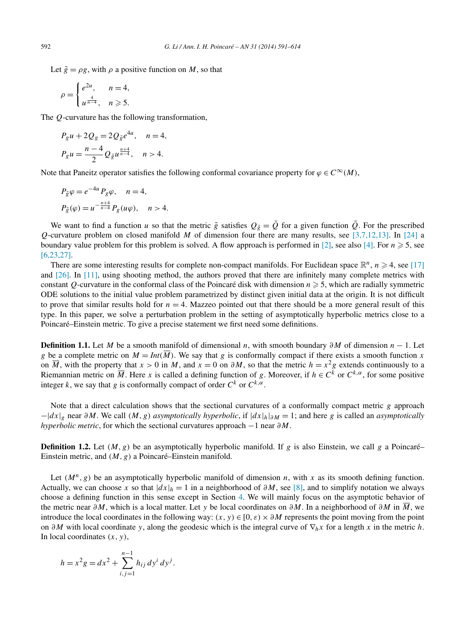Let  $\tilde{g} = \rho g$ , with  $\rho$  a positive function on *M*, so that

$$
\rho = \begin{cases} e^{2u}, & n = 4, \\ u^{\frac{4}{n-4}}, & n \geqslant 5. \end{cases}
$$

The *Q*-curvature has the following transformation,

$$
P_{g}u + 2Q_{g} = 2Q_{\tilde{g}}e^{4u}, \quad n = 4,
$$
  

$$
P_{g}u = \frac{n-4}{2}Q_{\tilde{g}}u^{\frac{n+4}{n-4}}, \quad n > 4.
$$

Note that Paneitz operator satisfies the following conformal covariance property for  $\varphi \in C^{\infty}(M)$ ,

$$
P_{\tilde{g}}\varphi = e^{-4u} P_g \varphi, \quad n = 4,
$$
  

$$
P_{\tilde{g}}(\varphi) = u^{-\frac{n+4}{n-4}} P_g(u\varphi), \quad n > 4.
$$

We want to find a function *u* so that the metric  $\tilde{g}$  satisfies  $Q_{\tilde{g}} = \tilde{Q}$  for a given function  $\tilde{Q}$ . For the prescribed *Q*-curvature problem on closed manifold *M* of dimension four there are many results, see [\[3,7,12,13\].](#page-23-0) In [\[24\]](#page-23-0) a boundary value problem for this problem is solved. A flow approach is performed in [\[2\],](#page-23-0) see also [\[4\].](#page-23-0) For  $n \geq 5$ , see [\[6,23,27\].](#page-23-0)

There are some interesting results for complete non-compact manifolds. For Euclidean space  $\mathbb{R}^n$ ,  $n \geq 4$ , see [\[17\]](#page-23-0) and  $[26]$ . In  $[11]$ , using shooting method, the authors proved that there are infinitely many complete metrics with constant Q-curvature in the conformal class of the Poincaré disk with dimension  $n \geq 5$ , which are radially symmetric ODE solutions to the initial value problem parametrized by distinct given initial data at the origin. It is not difficult to prove that similar results hold for  $n = 4$ . Mazzeo pointed out that there should be a more general result of this type. In this paper, we solve a perturbation problem in the setting of asymptotically hyperbolic metrics close to a Poincaré–Einstein metric. To give a precise statement we first need some definitions.

**Definition 1.1.** Let *M* be a smooth manifold of dimensional *n*, with smooth boundary *∂M* of dimension *n* − 1. Let *g* be a complete metric on  $M = Int(\overline{M})$ . We say that *g* is conformally compact if there exists a smooth function *x* on  $\overline{M}$ , with the property that  $x > 0$  in M, and  $x = 0$  on  $\partial M$ , so that the metric  $h = x^2 g$  extends continuously to a Riemannian metric on  $\overline{M}$ . Here *x* is called a defining function of *g*. Moreover, if  $h \in C^{\overline{k}}$  or  $C^{k,\alpha}$ , for some positive integer *k*, we say that *g* is conformally compact of order  $C^k$  or  $C^{k,\alpha}$ .

Note that a direct calculation shows that the sectional curvatures of a conformally compact metric *g* approach −|*dx*|*<sup>g</sup>* near *∂M*. We call *(M, g) asymptotically hyperbolic*, if |*dx*|*h*|*∂M* = 1; and here *g* is called an *asymptotically hyperbolic metric*, for which the sectional curvatures approach −1 near  $\partial M$ .

**Definition 1.2.** Let  $(M, g)$  be an asymptotically hyperbolic manifold. If *g* is also Einstein, we call *g* a Poincaré– Einstein metric, and *(M, g)* a Poincaré–Einstein manifold.

Let  $(M^n, g)$  be an asymptotically hyperbolic manifold of dimension *n*, with *x* as its smooth defining function. Actually, we can choose *x* so that  $|dx|_h = 1$  in a neighborhood of  $\partial M$ , see [\[8\],](#page-23-0) and to simplify notation we always choose a defining function in this sense except in Section [4.](#page-16-0) We will mainly focus on the asymptotic behavior of the metric near *∂M*, which is a local matter. Let *y* be local coordinates on *∂M*. In a neighborhood of *∂M* in *M*, we introduce the local coordinates in the following way:  $(x, y) \in [0, \varepsilon) \times \partial M$  represents the point moving from the point on *∂M* with local coordinate *y*, along the geodesic which is the integral curve of ∇*hx* for a length *x* in the metric *h*. In local coordinates *(x, y)*,

$$
h = x^2 g = dx^2 + \sum_{i,j=1}^{n-1} h_{ij} dy^i dy^j.
$$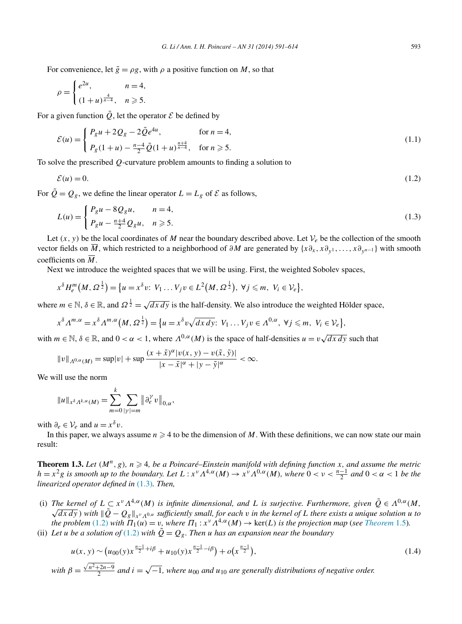<span id="page-2-0"></span>For convenience, let  $\tilde{g} = \rho g$ , with  $\rho$  a positive function on *M*, so that

$$
\rho = \begin{cases} e^{2u}, & n = 4, \\ (1+u)^{\frac{4}{n-4}}, & n \geq 5. \end{cases}
$$

For a given function  $\tilde{Q}$ , let the operator  $\mathcal E$  be defined by

$$
\mathcal{E}(u) = \begin{cases} P_g u + 2Q_g - 2\tilde{Q}e^{4u}, & \text{for } n = 4, \\ P_g (1+u) - \frac{n-4}{2} \tilde{Q} (1+u)^{\frac{n+4}{n-4}}, & \text{for } n \ge 5. \end{cases}
$$
(1.1)

To solve the prescribed *Q*-curvature problem amounts to finding a solution to

$$
\mathcal{E}(u) = 0.\tag{1.2}
$$

For  $\tilde{Q} = Q_g$ , we define the linear operator  $L = L_g$  of  $\mathcal E$  as follows,

$$
L(u) = \begin{cases} P_g u - 8Q_g u, & n = 4, \\ P_g u - \frac{n+4}{2}Q_g u, & n \ge 5. \end{cases}
$$
 (1.3)

Let  $(x, y)$  be the local coordinates of *M* near the boundary described above. Let  $V_e$  be the collection of the smooth vector fields on  $\overline{M}$ , which restricted to a neighborhood of  $\partial M$  are generated by  $\{x\partial_x, x\partial_y, x\partial_y, \ldots, x\partial_y, x\partial_y\}$  with smooth coefficients on *M*.

Next we introduce the weighted spaces that we will be using. First, the weighted Sobolev spaces,

$$
x^{\delta} H_{e}^{m}(M, \Omega^{\frac{1}{2}}) = \big\{ u = x^{\delta} v \colon V_1 \dots V_j v \in L^2(M, \Omega^{\frac{1}{2}}), \ \forall j \leq m, \ V_i \in \mathcal{V}_e \big\},\
$$

where  $m \in \mathbb{N}$ ,  $\delta \in \mathbb{R}$ , and  $\Omega^{\frac{1}{2}} = \sqrt{dx \, dy}$  is the half-density. We also introduce the weighted Hölder space,

$$
x^{\delta} \Lambda^{m,\alpha} = x^{\delta} \Lambda^{m,\alpha} \left( M, \Omega^{\frac{1}{2}} \right) = \left\{ u = x^{\delta} v \sqrt{dx \, dy}; \ V_1 \ldots V_j v \in \Lambda^{0,\alpha}, \ \forall j \leq m, \ V_i \in \mathcal{V}_e \right\},\
$$

with  $m \in \mathbb{N}$ ,  $\delta \in \mathbb{R}$ , and  $0 < \alpha < 1$ , where  $\Lambda^{0,\alpha}(M)$  is the space of half-densities  $u = v \sqrt{dx \, dy}$  such that

$$
||v||_{\Lambda^{0,\alpha}(M)} = \sup |v| + \sup \frac{(x+\tilde{x})^{\alpha}|v(x,y) - v(\tilde{x},\tilde{y})|}{|x-\tilde{x}|^{\alpha} + |y-\tilde{y}|^{\alpha}} < \infty.
$$

We will use the norm

$$
||u||_{x^{\delta} A^{k,\alpha}(M)} = \sum_{m=0}^{k} \sum_{|\gamma|=m} ||\partial_{e}^{\gamma} v||_{0,\alpha},
$$

with  $\partial_e \in \mathcal{V}_e$  and  $u = x^\delta v$ .

In this paper, we always assume  $n \geq 4$  to be the dimension of *M*. With these definitions, we can now state our main result:

**Theorem 1.3.** Let  $(M^n, g)$ ,  $n \geq 4$ , be a Poincaré–Einstein manifold with defining function x, and assume the metric  $h = x^2 g$  *is smooth up to the boundary. Let*  $L: x^{\nu} \Lambda^{4,\alpha}(M) \to x^{\nu} \Lambda^{0,\alpha}(M)$ *, where*  $0 < \nu < \frac{n-1}{2}$  *and*  $0 < \alpha < 1$  *be the linearized operator defined in* (1.3)*. Then,*

- (i) The kernel of  $L \subset x^{\nu} \Lambda^{4,\alpha}(M)$  is infinite dimensional, and L is surjective. Furthermore, given  $\tilde{Q} \in \Lambda^{0,\alpha}(M)$ ,  $\sqrt{dx\,dy}$ ) with  $\|\tilde{Q} - Q_g\|_{Y^V}$ <sub>1</sub>0, $\alpha$  sufficiently small, for each v in the kernel of L there exists a unique solution u to *the problem* (1.2) *with*  $\Pi_1(u) = v$ , *where*  $\Pi_1: x^{\nu} \Lambda^{4,\alpha}(M) \to \text{ker}(L)$  *is the projection map* (*see [Theorem](#page-4-0)* 1.5)*.*
- (ii) Let *u* be a solution of (1.2) with  $\tilde{Q} = Q_g$ . Then *u* has an expansion near the boundary

$$
u(x, y) \sim \left(u_{00}(y)x^{\frac{n-1}{2} + i\beta} + u_{10}(y)x^{\frac{n-1}{2} - i\beta}\right) + o\left(x^{\frac{n-1}{2}}\right),\tag{1.4}
$$

with 
$$
\beta = \frac{\sqrt{n^2 + 2n - 9}}{2}
$$
 and  $i = \sqrt{-1}$ , where  $u_{00}$  and  $u_{10}$  are generally distributions of negative order.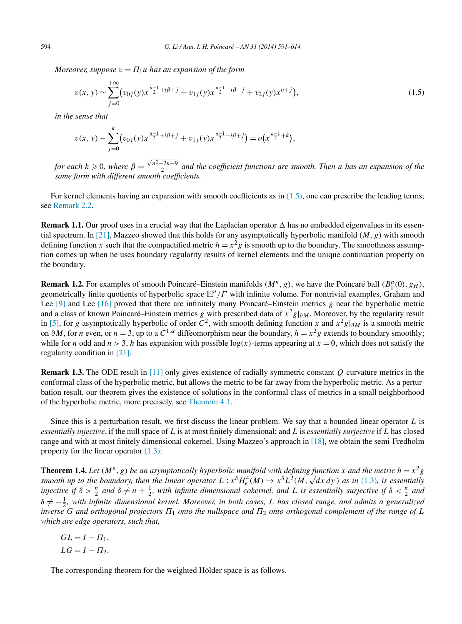<span id="page-3-0"></span>*Moreover, suppose*  $v = \Pi_1 u$  *has an expansion of the form* 

+∞

$$
v(x, y) \sim \sum_{j=0}^{+\infty} \left( v_{0j}(y) x^{\frac{n-1}{2} + i\beta + j} + v_{1j}(y) x^{\frac{n-1}{2} - i\beta + j} + v_{2j}(y) x^{n+j} \right),\tag{1.5}
$$

*in the sense that*

$$
v(x, y) - \sum_{j=0}^{k} (v_{0j}(y)x^{\frac{n-1}{2} + i\beta + j} + v_{1j}(y)x^{\frac{n-1}{2} - i\beta + j}) = o(x^{\frac{n-1}{2} + k}),
$$

*for each*  $k \ge 0$ , where  $\beta = \frac{\sqrt{n^2+2n-9}}{2}$  and the coefficient functions are smooth. Then *u* has an expansion of the *same form with different smooth coefficients.*

For kernel elements having an expansion with smooth coefficients as in (1.5), one can prescribe the leading terms; see [Remark 2.2.](#page-12-0)

**Remark 1.1.** Our proof uses in a crucial way that the Laplacian operator  $\Delta$  has no embedded eigenvalues in its essential spectrum. In [\[21\],](#page-23-0) Mazzeo showed that this holds for any asymptotically hyperbolic manifold *(M, g)* with smooth defining function *x* such that the compactified metric  $h = x^2g$  is smooth up to the boundary. The smoothness assumption comes up when he uses boundary regularity results of kernel elements and the unique continuation property on the boundary.

**Remark 1.2.** For examples of smooth Poincaré–Einstein manifolds  $(M^n, g)$ , we have the Poincaré ball  $(B_1^n(0), g_H)$ , geometrically finite quotients of hyperbolic space H*n/Γ* with infinite volume. For nontrivial examples, Graham and Lee [\[9\]](#page-23-0) and Lee [\[16\]](#page-23-0) proved that there are infinitely many Poincaré–Einstein metrics *g* near the hyperbolic metric and a class of known Poincaré–Einstein metrics *g* with prescribed data of  $x^2g|_{\partial M}$ . Moreover, by the regularity result in [\[5\],](#page-23-0) for *g* asymptotically hyperbolic of order  $C^2$ , with smooth defining function *x* and  $x^2g|_{\partial M}$  is a smooth metric on  $\partial M$ , for *n* even, or  $n = 3$ , up to a  $C^{1,\alpha}$  diffeomorphism near the boundary,  $h = x^2g$  extends to boundary smoothly; while for *n* odd and  $n > 3$ , *h* has expansion with possible  $log(x)$ -terms appearing at  $x = 0$ , which does not satisfy the regularity condition in [\[21\].](#page-23-0)

**Remark 1.3.** The ODE result in [\[11\]](#page-23-0) only gives existence of radially symmetric constant *Q*-curvature metrics in the conformal class of the hyperbolic metric, but allows the metric to be far away from the hyperbolic metric. As a perturbation result, our theorem gives the existence of solutions in the conformal class of metrics in a small neighborhood of the hyperbolic metric, more precisely, see [Theorem 4.1.](#page-16-0)

Since this is a perturbation result, we first discuss the linear problem. We say that a bounded linear operator *L* is *essentially injective*, if the null space of *L* is at most finitely dimensional; and *L* is *essentially surjective* if *L* has closed range and with at most finitely dimensional cokernel. Using Mazzeo's approach in [\[18\],](#page-23-0) we obtain the semi-Fredholm property for the linear operator [\(1.3\):](#page-2-0)

**Theorem 1.4.** Let  $(M^n, g)$  be an asymptotically hyperbolic manifold with defining function x and the metric  $h = x^2g$ **is mooth** up to the boundary, then the linear operator  $L : x^{\delta} H_{e}^{4}(M) \to x^{\delta} L^{2}(M, \sqrt{dx dy})$  as in [\(1.3\)](#page-2-0), is essentially smooth up to the boundary, then the linear operator  $L : x^{\delta} H_{e}^{4}(M) \to x^{\delta} L^{2}(M, \sqrt{dx dy})$  as in (1. *injective if*  $\delta > \frac{n}{2}$  *and*  $\delta \neq n+\frac{1}{2}$ , with infinite dimensional cokernel, and L is essentially surjective if  $\delta < \frac{n}{2}$  and  $\delta \neq -\frac{1}{2}$ , with infinite dimensional kernel. Moreover, in both cases, *L* has closed range, and admits a generalized *inverse G and orthogonal projectors Π*<sup>1</sup> *onto the nullspace and Π*<sup>2</sup> *onto orthogonal complement of the range of L which are edge operators, such that,*

$$
GL = I - \Pi_1,
$$
  

$$
LG = I - \Pi_2.
$$

The corresponding theorem for the weighted Hölder space is as follows.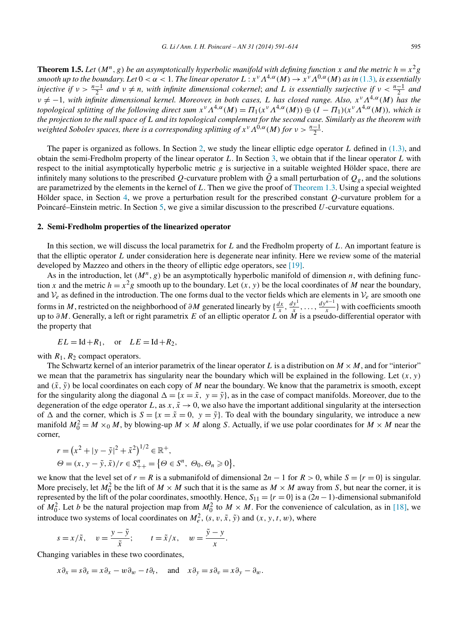<span id="page-4-0"></span>**Theorem 1.5.** Let  $(M^n, g)$  be an asymptotically hyperbolic manifold with defining function x and the metric  $h = x^2g$ *smooth up to the boundary. Let*  $0 < \alpha < 1$ *. The linear operator*  $L : x^{\nu} \Lambda^{4,\alpha}(M) \to x^{\nu} \Lambda^{0,\alpha}(M)$  *as in* [\(1.3\)](#page-2-0)*, is essentially injective if*  $v > \frac{n-1}{2}$  *and*  $v \neq n$ , with infinite dimensional cokernel; and L is essentially surjective if  $v < \frac{n-1}{2}$  and *ν*  $\neq$  −1*, with infinite dimensional kernel. Moreover, in both cases, L has closed range. Also,*  $x^{\nu}$ *Λ<sup>4,α</sup>(M) has the topological splitting of the following direct sum*  $x^{\nu} \Lambda^{4,\alpha}(M) = \Pi_1(x^{\nu} \Lambda^{4,\alpha}(M)) \oplus (I - \Pi_1)(x^{\nu} \Lambda^{4,\alpha}(M))$ *<i>, which is the projection to the null space of L and its topological complement for the second case. Similarly as the theorem with weighted Sobolev spaces, there is a corresponding splitting of*  $x^{\nu} \Lambda^{0,\alpha}(M)$  *for*  $\nu > \frac{n-1}{2}$ *.* 

The paper is organized as follows. In Section 2, we study the linear elliptic edge operator *L* defined in [\(1.3\),](#page-2-0) and obtain the semi-Fredholm property of the linear operator *L*. In Section [3,](#page-12-0) we obtain that if the linear operator *L* with respect to the initial asymptotically hyperbolic metric *g* is surjective in a suitable weighted Hölder space, there are infinitely many solutions to the prescribed *Q*-curvature problem with  $\tilde{Q}$  a small perturbation of  $Q_g$ , and the solutions are parametrized by the elements in the kernel of *L*. Then we give the proof of [Theorem 1.3.](#page-2-0) Using a special weighted Hölder space, in Section [4,](#page-16-0) we prove a perturbation result for the prescribed constant *Q*-curvature problem for a Poincaré–Einstein metric. In Section [5,](#page-18-0) we give a similar discussion to the prescribed *U*-curvature equations.

#### **2. Semi-Fredholm properties of the linearized operator**

In this section, we will discuss the local parametrix for *L* and the Fredholm property of *L*. An important feature is that the elliptic operator *L* under consideration here is degenerate near infinity. Here we review some of the material developed by Mazzeo and others in the theory of elliptic edge operators, see [\[19\].](#page-23-0)

As in the introduction, let  $(M^n, g)$  be an asymptotically hyperbolic manifold of dimension *n*, with defining function *x* and the metric  $h = x^2 g$  smooth up to the boundary. Let  $(x, y)$  be the local coordinates of *M* near the boundary, and  $V_e$  as defined in the introduction. The one forms dual to the vector fields which are elements in  $V_e$  are smooth one forms in *M*, restricted on the neighborhood of  $\partial M$  generated linearly by  $\{\frac{dx}{x}, \frac{dy^1}{x}, \dots, \frac{dy^{n-1}}{x}\}$  with coefficients smooth up to *∂M*. Generally, a left or right parametrix *E* of an elliptic operator *L* on *M* is a pseudo-differential operator with the property that

$$
EL = \text{Id} + R_1, \quad \text{or} \quad LE = \text{Id} + R_2,
$$

with  $R_1$ ,  $R_2$  compact operators.

The Schwartz kernel of an interior parametrix of the linear operator L is a distribution on  $M \times M$ , and for "interior" we mean that the parametrix has singularity near the boundary which will be explained in the following. Let  $(x, y)$ and  $(\tilde{x}, \tilde{y})$  be local coordinates on each copy of *M* near the boundary. We know that the parametrix is smooth, except for the singularity along the diagonal  $\Delta = \{x = \tilde{x}, y = \tilde{y}\}\$ , as in the case of compact manifolds. Moreover, due to the degeneration of the edge operator *L*, as  $x$ ,  $\tilde{x} \to 0$ , we also have the important additional singularity at the intersection of  $\Delta$  and the corner, which is  $S = \{x = \tilde{x} = 0, y = \tilde{y}\}\.$  To deal with the boundary singularity, we introduce a new manifold  $M_0^2 = M \times_0 M$ , by blowing-up  $M \times M$  along *S*. Actually, if we use polar coordinates for  $M \times M$  near the corner,

$$
r = (x2 + |y - \tilde{y}|2 + \tilde{x}2)1/2 \in \mathbb{R}+,
$$
  
\n
$$
\Theta = (x, y - \tilde{y}, \tilde{x})/r \in S++n = {\Theta \in Sn, \Theta_0, \Theta_n \ge 0},
$$

we know that the level set of  $r = R$  is a submanifold of dimensional  $2n - 1$  for  $R > 0$ , while  $S = \{r = 0\}$  is singular. More precisely, let  $M_0^2$  be the lift of  $M \times M$  such that it is the same as  $M \times M$  away from *S*, but near the corner, it is represented by the lift of the polar coordinates, smoothly. Hence,  $S_{11} = \{r = 0\}$  is a  $(2n - 1)$ -dimensional submanifold of  $M_0^2$ . Let *b* be the natural projection map from  $M_0^2$  to  $M \times M$ . For the convenience of calculation, as in [\[18\],](#page-23-0) we introduce two systems of local coordinates on  $M_e^2$ ,  $(s, v, \tilde{x}, \tilde{y})$  and  $(x, y, t, w)$ , where

$$
s = x/\tilde{x}
$$
,  $v = \frac{y - \tilde{y}}{\tilde{x}}$ ;  $t = \tilde{x}/x$ ,  $w = \frac{\tilde{y} - y}{x}$ .

Changing variables in these two coordinates,

 $x\partial_x = s\partial_x = x\partial_x - w\partial_w - t\partial_t$ , and  $x\partial_y = s\partial_y = x\partial_y - \partial_w$ .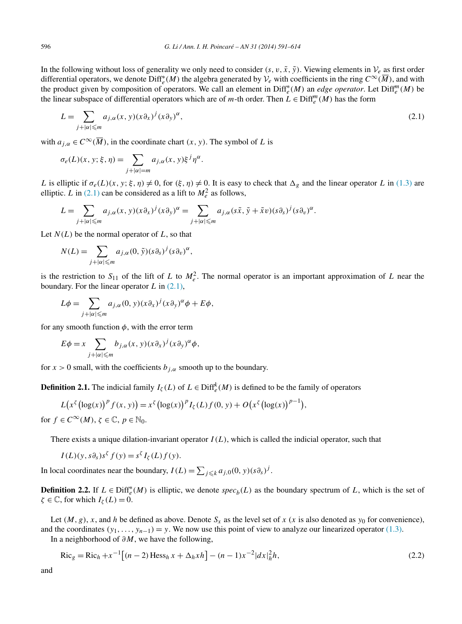<span id="page-5-0"></span>In the following without loss of generality we only need to consider  $(s, v, \tilde{x}, \tilde{y})$ . Viewing elements in  $\mathcal{V}_e$  as first order differential operators, we denote  $\text{Diff}^*_e(M)$  the algebra generated by  $\mathcal{V}_e$  with coefficients in the ring  $C^\infty(\overline{M})$ , and with the product given by composition of operators. We call an element in  $\text{Diff}^*_e(M)$  an *edge operator*. Let  $\text{Diff}^m_e(M)$  be the linear subspace of differential operators which are of *m*-th order. Then  $L \in \text{Diff}_{e}^{m}(M)$  has the form

$$
L = \sum_{j+|\alpha| \leqslant m} a_{j,\alpha}(x,y)(x\partial_x)^j (x\partial_y)^{\alpha},\tag{2.1}
$$

with  $a_{i,\alpha} \in C^{\infty}(\overline{M})$ , in the coordinate chart  $(x, y)$ . The symbol of *L* is

$$
\sigma_e(L)(x, y; \xi, \eta) = \sum_{j+|\alpha|=m} a_{j,\alpha}(x, y) \xi^j \eta^{\alpha}.
$$

*L* is elliptic if  $\sigma_e(L)(x, y; \xi, \eta) \neq 0$ , for  $(\xi, \eta) \neq 0$ . It is easy to check that  $\Delta_g$  and the linear operator *L* in [\(1.3\)](#page-2-0) are elliptic. *L* in (2.1) can be considered as a lift to  $M_e^2$  as follows,

$$
L = \sum_{j+|\alpha| \leqslant m} a_{j,\alpha}(x,y)(x\partial_x)^j (x\partial_y)^{\alpha} = \sum_{j+|\alpha| \leqslant m} a_{j,\alpha}(s\tilde{x}, \tilde{y} + \tilde{x}v)(s\partial_s)^j (s\partial_v)^{\alpha}.
$$

Let  $N(L)$  be the normal operator of  $L$ , so that

$$
N(L) = \sum_{j+|\alpha| \leq m} a_{j,\alpha}(0, \tilde{y})(s\partial_s)^j (s\partial_v)^{\alpha},
$$

is the restriction to  $S_{11}$  of the lift of *L* to  $M_e^2$ . The normal operator is an important approximation of *L* near the boundary. For the linear operator *L* in (2.1),

$$
L\phi = \sum_{j+|\alpha| \leq m} a_{j,\alpha}(0, y) (x \partial_x)^j (x \partial_y)^{\alpha} \phi + E\phi,
$$

for any smooth function  $\phi$ , with the error term

$$
E\phi = x \sum_{j+|\alpha| \leq m} b_{j,\alpha}(x,y)(x\partial_x)^j (x\partial_y)^{\alpha} \phi,
$$

for  $x > 0$  small, with the coefficients  $b_{i,\alpha}$  smooth up to the boundary.

**Definition 2.1.** The indicial family  $I_\zeta(L)$  of  $L \in \text{Diff}_e^k(M)$  is defined to be the family of operators

$$
L\big(x^{\zeta}\big(\log(x)\big)^{p}f(x,y)\big) = x^{\zeta}\big(\log(x)\big)^{p}I_{\zeta}(L)f(0,y) + O\big(x^{\zeta}\big(\log(x)\big)^{p-1}\big),
$$
  
\n
$$
\in C^{\infty}(M), \ z \in \mathbb{C}, \ p \in \mathbb{N}_{0}
$$

for  $f \in C^{\infty}(M)$ ,  $\zeta \in \mathbb{C}$ ,  $p \in \mathbb{N}_0$ .

There exists a unique dilation-invariant operator  $I(L)$ , which is called the indicial operator, such that

$$
I(L)(y, s\partial_s)s^{\zeta} f(y) = s^{\zeta} I_{\zeta}(L)f(y).
$$

In local coordinates near the boundary,  $I(L) = \sum_{j \leq k} a_{j,0}(0, y)(s \partial_s)^j$ .

**Definition 2.2.** If  $L \in \text{Diff}_{e}^{*}(M)$  is elliptic, we denote  $spec_{b}(L)$  as the boundary spectrum of *L*, which is the set of  $\zeta \in \mathbb{C}$ , for which  $I_{\zeta}(L) = 0$ .

Let  $(M, g)$ , *x*, and *h* be defined as above. Denote  $S_x$  as the level set of *x* (*x* is also denoted as *y*<sub>0</sub> for convenience), and the coordinates  $(y_1, \ldots, y_{n-1}) = y$ . We now use this point of view to analyze our linearized operator [\(1.3\).](#page-2-0)

In a neighborhood of *∂M*, we have the following,

$$
\text{Ric}_g = \text{Ric}_h + x^{-1} \left[ (n-2) \text{Hess}_h x + \Delta_h x h \right] - (n-1) x^{-2} |dx|_h^2 h,
$$
\n(2.2)

and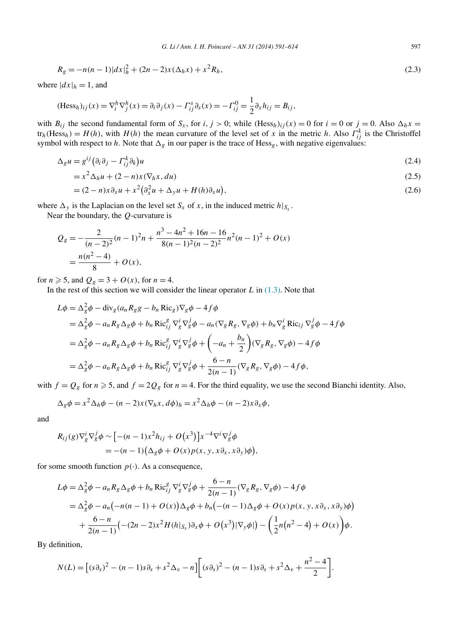$$
R_g = -n(n-1)|dx|_h^2 + (2n-2)x(\Delta_h x) + x^2 R_h,
$$
\n(2.3)

where  $|dx|_h = 1$ , and

$$
(\text{Hess}_h)_{ij}(x) = \nabla_i^h \nabla_j^h(x) = \partial_i \partial_j(x) - \Gamma_{ij}^s \partial_s(x) = -\Gamma_{ij}^0 = \frac{1}{2} \partial_x h_{ij} = B_{ij},
$$

with  $B_{ij}$  the second fundamental form of  $S_x$ , for  $i, j > 0$ ; while  $(Hess_h)_{ij}(x) = 0$  for  $i = 0$  or  $j = 0$ . Also  $\Delta_h x =$  $tr_h(\text{Hess}_h) = H(h)$ , with  $H(h)$  the mean curvature of the level set of *x* in the metric *h*. Also  $\Gamma_{ij}^k$  is the Christoffel symbol with respect to h. Note that  $\Delta_g$  in our paper is the trace of Hess<sub>g</sub>, with negative eigenvalues:

$$
\Delta_g u = g^{ij} \left( \partial_i \partial_j - \Gamma_{ij}^k \partial_k \right) u \tag{2.4}
$$

$$
=x^2\Delta_h u + (2-n)x(\nabla_h x, du)
$$
\n(2.5)

$$
= (2 - n)x\partial_x u + x^2(\partial_x^2 u + \Delta_y u + H(h)\partial_x u), \qquad (2.6)
$$

where  $\Delta_y$  is the Laplacian on the level set  $S_x$  of  $x$ , in the induced metric  $h|_{S_x}$ .

Near the boundary, the *Q*-curvature is

$$
Q_g = -\frac{2}{(n-2)^2}(n-1)^2n + \frac{n^3 - 4n^2 + 16n - 16}{8(n-1)^2(n-2)^2}n^2(n-1)^2 + O(x)
$$
  
=  $\frac{n(n^2 - 4)}{8} + O(x),$ 

for  $n \ge 5$ , and  $Q_g = 3 + O(x)$ , for  $n = 4$ .

In the rest of this section we will consider the linear operator  $L$  in  $(1.3)$ . Note that

$$
L\phi = \Delta_g^2 \phi - \text{div}_g (a_n R_g g - b_n \text{Ric}_g) \nabla_g \phi - 4f\phi
$$
  
\n
$$
= \Delta_g^2 \phi - a_n R_g \Delta_g \phi + b_n \text{Ric}_{ij}^g \nabla_g^j \nabla_g^j \phi - a_n (\nabla_g R_g, \nabla_g \phi) + b_n \nabla_g^i \text{Ric}_{ij} \nabla_g^j \phi - 4f\phi
$$
  
\n
$$
= \Delta_g^2 \phi - a_n R_g \Delta_g \phi + b_n \text{Ric}_{ij}^g \nabla_g^j \nabla_g^j \phi + \left( -a_n + \frac{b_n}{2} \right) (\nabla_g R_g, \nabla_g \phi) - 4f\phi
$$
  
\n
$$
= \Delta_g^2 \phi - a_n R_g \Delta_g \phi + b_n \text{Ric}_{ij}^g \nabla_g^j \nabla_g^j \phi + \frac{6-n}{2(n-1)} (\nabla_g R_g, \nabla_g \phi) - 4f\phi,
$$

with  $f = Q_g$  for  $n \ge 5$ , and  $f = 2Q_g$  for  $n = 4$ . For the third equality, we use the second Bianchi identity. Also,

$$
\Delta_g \phi = x^2 \Delta_h \phi - (n-2)x(\nabla_h x, d\phi)_h = x^2 \Delta_h \phi - (n-2)x \partial_x \phi,
$$

and

$$
R_{ij}(g)\nabla_g^i\nabla_g^j\phi \sim [-(n-1)x^2h_{ij} + O(x^3)]x^{-4}\nabla^i\nabla_g^j\phi
$$
  
= -(n-1)(\Delta\_g\phi + O(x)p(x, y, x\partial\_x, x\partial\_y)\phi),

for some smooth function  $p(\cdot)$ . As a consequence,

$$
L\phi = \Delta_g^2 \phi - a_n R_g \Delta_g \phi + b_n \text{Ric}_{ij}^g \nabla_g^j \nabla_g^j \phi + \frac{6-n}{2(n-1)} (\nabla_g R_g, \nabla_g \phi) - 4f\phi
$$
  
=  $\Delta_g^2 \phi - a_n (-n(n-1) + O(x)) \Delta_g \phi + b_n (-(n-1) \Delta_g \phi + O(x) p(x, y, x \partial_x, x \partial_y) \phi)$   
+  $\frac{6-n}{2(n-1)} (-(2n-2)x^2 H(h|_{S_x}) \partial_x \phi + O(x^3) |\nabla_y \phi|) - (\frac{1}{2}n(n^2-4) + O(x)) \phi.$ 

By definition,

$$
N(L) = [(s\partial_s)^2 - (n-1)s\partial_s + s^2\Delta_v - n] \bigg[ (s\partial_s)^2 - (n-1)s\partial_s + s^2\Delta_v + \frac{n^2-4}{2} \bigg].
$$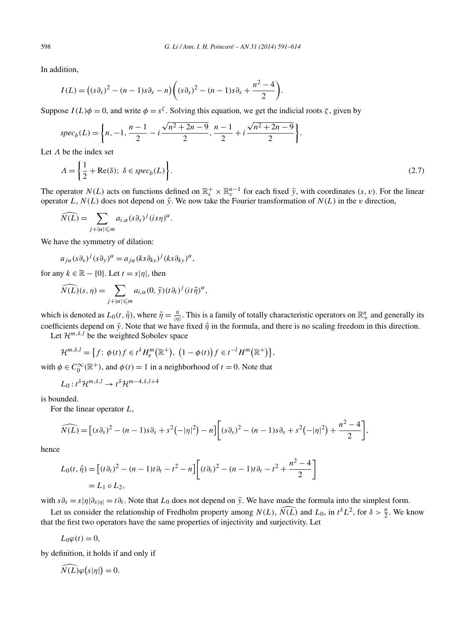<span id="page-7-0"></span>In addition,

$$
I(L) = ((s\partial_s)^2 - (n-1)s\partial_s - n)\left((s\partial_s)^2 - (n-1)s\partial_s + \frac{n^2-4}{2}\right).
$$

Suppose  $I(L)\phi = 0$ , and write  $\phi = s^{\zeta}$ . Solving this equation, we get the indicial roots  $\zeta$ , given by

$$
spec_b(L) = \left\{n, -1, \frac{n-1}{2} - i\frac{\sqrt{n^2 + 2n - 9}}{2}, \frac{n-1}{2} + i\frac{\sqrt{n^2 + 2n - 9}}{2}\right\}.
$$

Let *Λ* be the index set

$$
\Lambda = \left\{ \frac{1}{2} + \text{Re}(\delta); \ \delta \in spec_b(L) \right\}.
$$
\n(2.7)

The operator  $N(L)$  acts on functions defined on  $\mathbb{R}_s^+ \times \mathbb{R}_v^{n-1}$  for each fixed  $\tilde{y}$ , with coordinates  $(s, v)$ . For the linear operator  $L$ ,  $N(L)$  does not depend on  $\tilde{y}$ . We now take the Fourier transformation of  $N(L)$  in the *v* direction,

$$
\widehat{N(L)} = \sum_{j+|\alpha| \leqslant m} a_{i,\alpha}(s\partial_s)^j (is\eta)^{\alpha}.
$$

We have the symmetry of dilation:

$$
a_{j\alpha}(s\partial_s)^j (s\partial_y)^{\alpha} = a_{j\alpha}(ks\partial_{ks})^j (ks\partial_{ky})^{\alpha},
$$

for any  $k \in \mathbb{R} - \{0\}$ . Let  $t = s|\eta|$ , then

$$
\widehat{N(L)}(s,\eta) = \sum_{j+|\alpha| \leqslant m} a_{i,\alpha}(0,\tilde{y})(t\partial_t)^j (it\hat{\eta})^{\alpha},
$$

which is denoted as  $L_0(t, \hat{\eta})$ , where  $\hat{\eta} = \frac{\eta}{|\eta|}$ . This is a family of totally characteristic operators on  $\mathbb{R}^n_+$  and generally its coefficients depend on  $\tilde{y}$ . Note that we have fixed  $\hat{\eta}$  in the formula, and there is no scaling freedom in this direction.

Let  $\mathcal{H}^{m,\delta,l}$  be the weighted Sobolev space

$$
\mathcal{H}^{m,\delta,l}=\big\{f\colon\phi(t)f\in t^{\delta}H_{e}^{m}(\mathbb{R}^{+}),\ (1-\phi(t))f\in t^{-l}H^{m}(\mathbb{R}^{+})\big\},\
$$

with  $\phi \in C_0^{\infty}(\mathbb{R}^+)$ , and  $\phi(t) = 1$  in a neighborhood of  $t = 0$ . Note that

$$
L_0: t^{\delta} \mathcal{H}^{m,\delta,l} \to t^{\delta} \mathcal{H}^{m-4,\delta,l+4}
$$

is bounded.

For the linear operator *L*,

$$
\widehat{N(L)} = [(s\partial_s)^2 - (n-1)s\partial_s + s^2(-|\eta|^2) - n] \bigg[ (s\partial_s)^2 - (n-1)s\partial_s + s^2(-|\eta|^2) + \frac{n^2-4}{2} \bigg],
$$

hence

$$
L_0(t, \hat{\eta}) = \left[ (t\partial_t)^2 - (n-1)t\partial_t - t^2 - n \right] \left[ (t\partial_t)^2 - (n-1)t\partial_t - t^2 + \frac{n^2 - 4}{2} \right]
$$
  
=  $L_1 \circ L_2$ ,

with  $s\partial_s = s|\eta|\partial_{s|\eta} = t\partial_t$ . Note that  $L_0$  does not depend on  $\tilde{y}$ . We have made the formula into the simplest form.

Let us consider the relationship of Fredholm property among  $N(L)$ ,  $\widehat{N(L)}$  and  $L_0$ , in  $t^{\delta}L^2$ , for  $\delta > \frac{n}{2}$ . We know that the first two operators have the same properties of injectivity and surjectivity. Let

$$
L_0\varphi(t)=0,
$$

by definition, it holds if and only if

$$
\widehat{N(L)}\varphi(s|\eta|)=0.
$$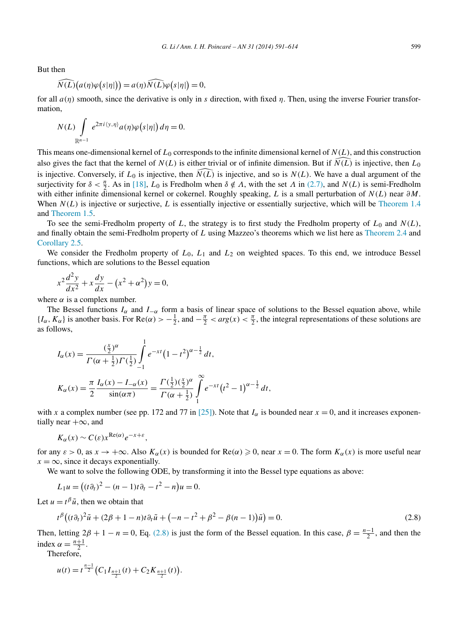But then

$$
\widehat{N(L)}(a(\eta)\varphi(s|\eta|)) = a(\eta)\widehat{N(L)}\varphi(s|\eta|) = 0,
$$

for all  $a(\eta)$  smooth, since the derivative is only in *s* direction, with fixed *η*. Then, using the inverse Fourier transformation,

$$
N(L) \int\limits_{\mathbb{R}^{n-1}} e^{2\pi i \langle y, \eta \rangle} a(\eta) \varphi(s|\eta|) d\eta = 0.
$$

This means one-dimensional kernel of  $L_0$  corresponds to the infinite dimensional kernel of  $N(L)$ , and this construction also gives the fact that the kernel of  $N(L)$  is either trivial or of infinite dimension. But if  $\widehat{N(L)}$  is injective, then  $L_0$ is injective. Conversely, if  $L_0$  is injective, then  $\widehat{N(L)}$  is injective, and so is  $N(L)$ . We have a dual argument of the surjectivity for  $\delta < \frac{n}{2}$ . As in [\[18\],](#page-23-0)  $L_0$  is Fredholm when  $\delta \notin \Lambda$ , with the set  $\Lambda$  in [\(2.7\),](#page-7-0) and  $N(L)$  is semi-Fredholm with either infinite dimensional kernel or cokernel. Roughly speaking, *L* is a small perturbation of *N (L)* near *∂M*. When *N (L)* is injective or surjective, *L* is essentially injective or essentially surjective, which will be [Theorem 1.4](#page-3-0) and [Theorem 1.5.](#page-4-0)

To see the semi-Fredholm property of  $L$ , the strategy is to first study the Fredholm property of  $L_0$  and  $N(L)$ , and finally obtain the semi-Fredholm property of *L* using Mazzeo's theorems which we list here as [Theorem 2.4](#page-10-0) and [Corollary 2.5.](#page-10-0)

We consider the Fredholm property of *L*0, *L*<sup>1</sup> and *L*<sup>2</sup> on weighted spaces. To this end, we introduce Bessel functions, which are solutions to the Bessel equation

$$
x^{2} \frac{d^{2} y}{dx^{2}} + x \frac{dy}{dx} - (x^{2} + \alpha^{2}) y = 0,
$$

where  $\alpha$  is a complex number.

The Bessel functions  $I_\alpha$  and  $I_{-\alpha}$  form a basis of linear space of solutions to the Bessel equation above, while  ${I_\alpha, K_\alpha}$  is another basis. For  $\text{Re}(\alpha) > -\frac{1}{2}$ , and  $-\frac{\pi}{2} < arg(x) < \frac{\pi}{2}$ , the integral representations of these solutions are as follows,

$$
I_{\alpha}(x) = \frac{\left(\frac{x}{2}\right)^{\alpha}}{\Gamma(\alpha + \frac{1}{2})\Gamma(\frac{1}{2})} \int_{-1}^{1} e^{-xt} (1 - t^2)^{\alpha - \frac{1}{2}} dt,
$$
  

$$
K_{\alpha}(x) = \frac{\pi}{2} \frac{I_{\alpha}(x) - I_{-\alpha}(x)}{\sin(\alpha \pi)} = \frac{\Gamma(\frac{1}{2})(\frac{x}{2})^{\alpha}}{\Gamma(\alpha + \frac{1}{2})} \int_{1}^{\infty} e^{-xt} (t^2 - 1)^{\alpha - \frac{1}{2}} dt,
$$

with *x* a complex number (see pp. 172 and 77 in [\[25\]\)](#page-23-0). Note that  $I_\alpha$  is bounded near  $x = 0$ , and it increases exponentially near  $+\infty$ , and

$$
K_{\alpha}(x) \sim C(\varepsilon) x^{\text{Re}(\alpha)} e^{-x+\varepsilon},
$$

for any  $\varepsilon > 0$ , as  $x \to +\infty$ . Also  $K_\alpha(x)$  is bounded for  $\text{Re}(\alpha) \geq 0$ , near  $x = 0$ . The form  $K_\alpha(x)$  is more useful near  $x = \infty$ , since it decays exponentially.

We want to solve the following ODE, by transforming it into the Bessel type equations as above:

$$
L_1 u = ((t \partial_t)^2 - (n-1)t \partial_t - t^2 - n)u = 0.
$$

Let  $u = t^{\beta} \tilde{u}$ , then we obtain that

$$
t^{\beta}\left((t\partial_{t})^{2}\tilde{u}+(2\beta+1-n)t\partial_{t}\tilde{u}+(-n-t^{2}+\beta^{2}-\beta(n-1))\tilde{u}\right)=0.
$$
\n(2.8)

Then, letting  $2\beta + 1 - n = 0$ , Eq. (2.8) is just the form of the Bessel equation. In this case,  $\beta = \frac{n-1}{2}$ , and then the index  $\alpha = \frac{n+1}{2}$ .

Therefore,

$$
u(t) = t^{\frac{n-1}{2}} \big( C_1 I_{\frac{n+1}{2}}(t) + C_2 K_{\frac{n+1}{2}}(t) \big).
$$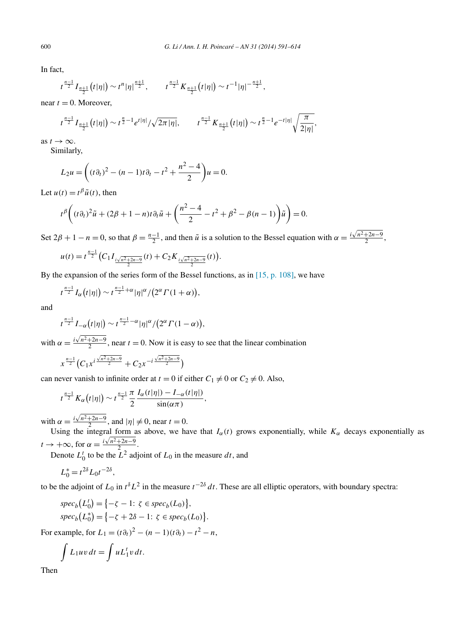In fact,

$$
t^{\frac{n-1}{2}}I_{\frac{n+1}{2}}(t|\eta|)\sim t^{n}|\eta|^{\frac{n+1}{2}},\qquad t^{\frac{n-1}{2}}K_{\frac{n+1}{2}}(t|\eta|)\sim t^{-1}|\eta|^{-\frac{n+1}{2}},
$$

near  $t = 0$ . Moreover,

$$
t^{\frac{n-1}{2}}I_{\frac{n+1}{2}}(t|\eta|) \sim t^{\frac{n}{2}-1}e^{t|\eta|}/\sqrt{2\pi |\eta|}, \qquad t^{\frac{n-1}{2}}K_{\frac{n+1}{2}}(t|\eta|) \sim t^{\frac{n}{2}-1}e^{-t|\eta|}\sqrt{\frac{\pi}{2|\eta|}},
$$

as  $t \to \infty$ .

Similarly,

$$
L_2 u = \left( (t \partial_t)^2 - (n-1)t \partial_t - t^2 + \frac{n^2 - 4}{2} \right) u = 0.
$$

Let  $u(t) = t^{\beta} \tilde{u}(t)$ , then

$$
t^{\beta}\bigg((t\partial_{t})^{2}\tilde{u}+(2\beta+1-n)t\partial_{t}\tilde{u}+\left(\frac{n^{2}-4}{2}-t^{2}+\beta^{2}-\beta(n-1)\right)\tilde{u}\bigg)=0.
$$

Set  $2\beta + 1 - n = 0$ , so that  $\beta = \frac{n-1}{2}$ , and then  $\tilde{u}$  is a solution to the Bessel equation with  $\alpha = \frac{i\sqrt{n^2 + 2n - 9}}{2}$ ,

$$
u(t) = t^{\frac{n-1}{2}} \left( C_1 I_{\frac{i\sqrt{n^2 + 2n - 9}}{2}}(t) + C_2 K_{\frac{i\sqrt{n^2 + 2n - 9}}{2}}(t) \right).
$$

By the expansion of the series form of the Bessel functions, as in [\[15, p. 108\],](#page-23-0) we have

$$
t^{\frac{n-1}{2}}I_{\alpha}(t|\eta|)\sim t^{\frac{n-1}{2}+\alpha}|\eta|^{\alpha}/(2^{\alpha}\Gamma(1+\alpha)),
$$

and

$$
t^{\frac{n-1}{2}}I_{-\alpha}(t|\eta|) \sim t^{\frac{n-1}{2}-\alpha}|\eta|^{\alpha}/(2^{\alpha}\Gamma(1-\alpha)),
$$

with  $\alpha = \frac{i\sqrt{n^2 + 2n - 9}}{2}$ , near  $t = 0$ . Now it is easy to see that the linear combination

$$
x^{\frac{n-1}{2}}(C_1x^{i\frac{\sqrt{n^2+2n-9}}{2}}+C_2x^{-i\frac{\sqrt{n^2+2n-9}}{2}})
$$

can never vanish to infinite order at  $t = 0$  if either  $C_1 \neq 0$  or  $C_2 \neq 0$ . Also,

$$
t^{\frac{n-1}{2}}K_{\alpha}(t|\eta|)\sim t^{\frac{n-1}{2}}\frac{\pi}{2}\frac{I_{\alpha}(t|\eta|)-I_{-\alpha}(t|\eta|)}{\sin(\alpha\pi)},
$$

with  $\alpha = \frac{i\sqrt{n^2 + 2n - 9}}{2}$ , and  $|\eta| \neq 0$ , near  $t = 0$ .

Using the integral form as above, we have that  $I_\alpha(t)$  grows exponentially, while  $K_\alpha$  decays exponentially as  $t \to +\infty$ , for  $\alpha = \frac{i\sqrt{n^2+2n-9}}{2}$ .

Denote  $L_0^t$  to be the  $L^2$  adjoint of  $L_0$  in the measure  $dt$ , and

$$
L_0^* = t^{2\delta} L_0 t^{-2\delta},
$$

to be the adjoint of  $L_0$  in  $t^{\delta}L^2$  in the measure  $t^{-2\delta} dt$ . These are all elliptic operators, with boundary spectra:

$$
spec_b(L_0^t) = \{-\zeta - 1: \ \zeta \in spec_b(L_0)\},
$$
  

$$
spec_b(L_0^*) = \{-\zeta + 2\delta - 1: \ \zeta \in spec_b(L_0)\}.
$$

For example, for  $L_1 = (t \partial_t)^2 - (n - 1)(t \partial_t) - t^2 - n$ ,

$$
\int L_1 u v \, dt = \int u L_1^t v \, dt.
$$

Then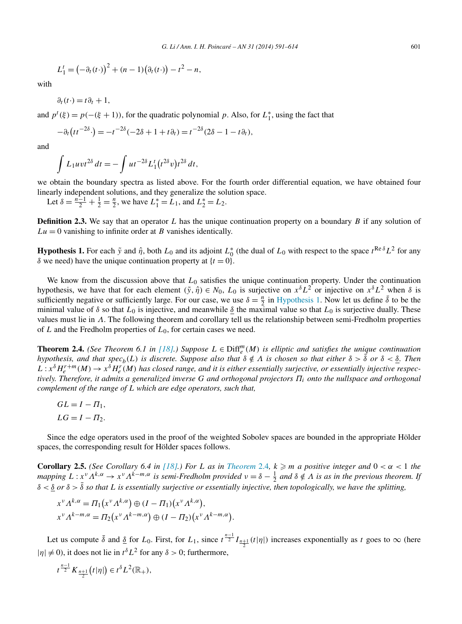<span id="page-10-0"></span>
$$
L_1^t = \left(-\partial_t(t)\right)^2 + (n-1)\left(\partial_t(t)\right) - t^2 - n,
$$

with

$$
\partial_t(t\cdot) = t\partial_t + 1,
$$

and  $p^t(\xi) = p(-( \xi + 1))$ , for the quadratic polynomial *p*. Also, for  $L_1^*$ , using the fact that

$$
-\partial_t\left(t t^{-2\delta}\cdot\right) = -t^{-2\delta}(-2\delta+1+t\partial_t) = t^{-2\delta}(2\delta-1-t\partial_t),
$$

and

$$
\int L_1 u v t^{2\delta} dt = - \int u t^{-2\delta} L_1^t (t^{2\delta} v) t^{2\delta} dt,
$$

we obtain the boundary spectra as listed above. For the fourth order differential equation, we have obtained four linearly independent solutions, and they generalize the solution space.

Let  $\delta = \frac{n-1}{2} + \frac{1}{2} = \frac{n}{2}$ , we have  $L_1^* = L_1$ , and  $L_2^* = L_2$ .

**Definition 2.3.** We say that an operator *L* has the unique continuation property on a boundary *B* if any solution of  $Lu = 0$  vanishing to infinite order at *B* vanishes identically.

**Hypothesis 1.** For each  $\tilde{y}$  and  $\hat{\eta}$ , both  $L_0$  and its adjoint  $L_0^*$  (the dual of  $L_0$  with respect to the space  $t^{Re\delta}L^2$  for any *δ* we need) have the unique continuation property at  ${t = 0}$ .

We know from the discussion above that  $L_0$  satisfies the unique continuation property. Under the continuation hypothesis, we have that for each element  $(\tilde{y}, \hat{\eta}) \in N_0$ ,  $L_0$  is surjective on  $x^{\delta}L^2$  or injective on  $x^{\delta}L^2$  when  $\delta$  is sufficiently negative or sufficiently large. For our case, we use  $\delta = \frac{n}{2}$  in Hypothesis 1. Now let us define  $\bar{\delta}$  to be the minimal value of  $\delta$  so that  $L_0$  is injective, and meanwhile  $\delta$  the maximal value so that  $L_0$  is surjective dually. These values must lie in *Λ*. The following theorem and corollary tell us the relationship between semi-Fredholm properties of *L* and the Fredholm properties of *L*0, for certain cases we need.

**Theorem 2.4.** *(See Theorem 6.1 in [\[18\].](#page-23-0))* Suppose  $L \in \text{Diff}_{e}^{m}(M)$  *is elliptic and satisfies the unique continuation hypothesis, and that spec<sub><i>b*</sub></sub>(L) *is discrete. Suppose also that*  $\delta \notin \Lambda$  *is chosen so that either*  $\delta > \bar{\delta}$  *or*  $\delta < \delta$ . Then  $L: x^{\delta}H^{r+m}_{e}(M)\to x^{\delta}H^{r}_{e}(M)$  has closed range, and it is either essentially surjective, or essentially injective respec*tively. Therefore, it admits a generalized inverse G and orthogonal projectors Πi onto the nullspace and orthogonal complement of the range of L which are edge operators, such that,*

$$
GL = I - \Pi_1,
$$
  

$$
LG = I - \Pi_2.
$$

Since the edge operators used in the proof of the weighted Sobolev spaces are bounded in the appropriate Hölder spaces, the corresponding result for Hölder spaces follows.

**Corollary 2.5.** *(See Corollary 6.4 in [\[18\].](#page-23-0)) For L* as in *Theorem* 2.4*,*  $k \ge m$  *a positive integer and*  $0 < \alpha < 1$  *the mapping*  $L: x^{\nu} \Lambda^{k, \alpha} \to x^{\nu} \Lambda^{k-m, \alpha}$  *is semi-Fredholm provided*  $\nu = \delta - \frac{1}{2}$  *and*  $\delta \notin \Lambda$  *is as in the previous theorem. If δ<δ or δ > δ*¯ *so that L is essentially surjective or essentially injective, then topologically, we have the splitting,*

$$
x^{\nu} \Lambda^{k,\alpha} = \Pi_1(x^{\nu} \Lambda^{k,\alpha}) \oplus (I - \Pi_1)(x^{\nu} \Lambda^{k,\alpha}),
$$
  
\n
$$
x^{\nu} \Lambda^{k-m,\alpha} = \Pi_2(x^{\nu} \Lambda^{k-m,\alpha}) \oplus (I - \Pi_2)(x^{\nu} \Lambda^{k-m,\alpha}).
$$

Let us compute  $\bar{\delta}$  and  $\underline{\delta}$  for  $L_0$ . First, for  $L_1$ , since  $t^{\frac{n-1}{2}}I_{\frac{n+1}{2}}(t|\eta|)$  increases exponentially as  $t$  goes to  $\infty$  (here  $|\eta| \neq 0$ , it does not lie in  $t^{\delta}L^2$  for any  $\delta > 0$ ; furthermore,

$$
t^{\frac{n-1}{2}}K_{\frac{n+1}{2}}(t|\eta|)\in t^{\delta}L^{2}(\mathbb{R}_{+}),
$$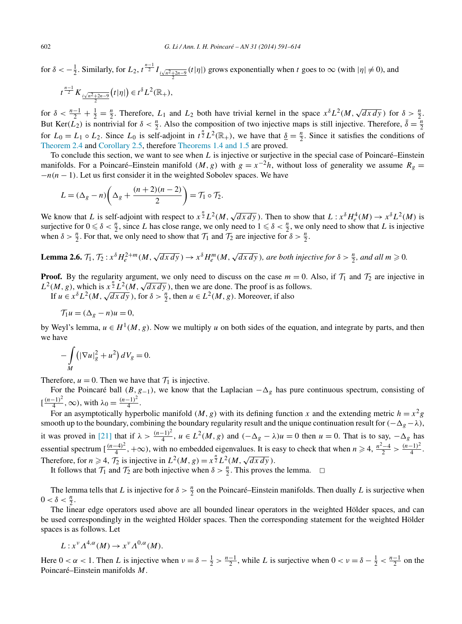<span id="page-11-0"></span>for 
$$
\delta < -\frac{1}{2}
$$
. Similarly, for  $L_2$ ,  $t^{\frac{n-1}{2}} I_{\frac{i\sqrt{n^2+2n-9}{2}}}(t|\eta|)$  grows exponentially when  $t$  goes to  $\infty$  (with  $|\eta| \neq 0$ ), and  $t^{\frac{n-1}{2}} K_{\frac{i\sqrt{n^2+2n-9}{2}}}(t|\eta|) \in t^{\delta} L^2(\mathbb{R}_+),$ 

for  $\delta < \frac{n-1}{2} + \frac{1}{2} = \frac{n}{2}$ . Therefore, *L*<sub>1</sub> and *L*<sub>2</sub> both have trivial kernel in the space  $x^{\delta}L^2(M, \sqrt{dx \, dy})$  for  $\delta > \frac{n}{2}$ . But Ker(*L*<sub>2</sub>) is nontrivial for  $\delta < \frac{n}{2}$ . Also the composition of two injective maps is still injective. Therefore,  $\delta = \frac{n}{2}$ for  $L_0 = L_1 \circ L_2$ . Since  $L_0$  is self-adjoint in  $t^{\frac{n}{2}} L^2(\mathbb{R}_+)$ , we have that  $\underline{\delta} = \frac{n}{2}$ . Since it satisfies the conditions of [Theorem 2.4](#page-10-0) and [Corollary 2.5,](#page-10-0) therefore [Theorems 1.4 and 1.5](#page-3-0) are proved.

To conclude this section, we want to see when *L* is injective or surjective in the special case of Poincaré–Einstein manifolds. For a Poincaré–Einstein manifold *(M, g)* with  $g = x^{-2}h$ , without loss of generality we assume  $R_g =$  $-n(n-1)$ . Let us first consider it in the weighted Sobolev spaces. We have

$$
L = (\Delta_g - n) \left( \Delta_g + \frac{(n+2)(n-2)}{2} \right) = \mathcal{T}_1 \circ \mathcal{T}_2.
$$

We know that *L* is self-adjoint with respect to  $x^{\frac{n}{2}}L^2(M, \sqrt{dx\,dy})$ . Then to show that  $L : x^{\delta}H_e^4(M) \to x^{\delta}L^2(M)$  is surjective for  $0 \le \delta < \frac{n}{2}$ , since *L* has close range, we only need to  $1 \le \delta < \frac{n}{2}$ , we only need to show that *L* is injective when  $\delta > \frac{n}{2}$ . For that, we only need to show that  $\mathcal{T}_1$  and  $\mathcal{T}_2$  are injective for  $\delta > \frac{n}{2}$ .

**Lemma 2.6.**  $\mathcal{T}_1$ ,  $\mathcal{T}_2$ :  $x^{\delta}H_e^{2+m}(M, \sqrt{dx\,dy}) \to x^{\delta}H_e^m(M, \sqrt{dx\,dy})$ , are both injective for  $\delta > \frac{n}{2}$ , and all  $m \geqslant 0$ .

**Proof.** By the regularity argument, we only need to discuss on the case  $m = 0$ . Also, if  $\mathcal{T}_1$  and  $\mathcal{T}_2$  are injective in *L*<sup>2</sup>(*M*, *g*), which is  $x^{\frac{n}{2}}L^2(M, \sqrt{dx\,dy})$ , then we are done. The proof is as follows. If  $u \in x^{\delta}L^2(M, \sqrt{dx\,dy})$ , for  $\delta > \frac{n}{2}$ , then  $u \in L^2(M, g)$ . Moreover, if also

$$
\mathcal{T}_1 u = (\Delta_g - n)u = 0,
$$

by Weyl's lemma,  $u \in H^1(M, g)$ . Now we multiply *u* on both sides of the equation, and integrate by parts, and then we have

$$
-\int\limits_M\left(|\nabla u|_g^2+u^2\right)dV_g=0.
$$

Therefore,  $u = 0$ . Then we have that  $\mathcal{T}_1$  is injective.

For the Poincaré ball  $(B, g_{-1})$ , we know that the Laplacian  $-\Delta_g$  has pure continuous spectrum, consisting of  $\left[\frac{(n-1)^2}{4}, \infty\right)$ , with  $\lambda_0 = \frac{(n-1)^2}{4}$ .

For an asymptotically hyperbolic manifold *(M, g)* with its defining function *x* and the extending metric  $h = x^2g$ smooth up to the boundary, combining the boundary regularity result and the unique continuation result for  $(-\Delta_g - \lambda)$ , it was proved in [\[21\]](#page-23-0) that if  $\lambda > \frac{(n-1)^2}{4}$ ,  $u \in L^2(M, g)$  and  $(-\Delta_g - \lambda)u = 0$  then  $u = 0$ . That is to say,  $-\Delta_g$  has essential spectrum  $\left[\frac{(n-4)^2}{4}, +\infty\right)$ , with no embedded eigenvalues. It is easy to check that when  $n \ge 4$ ,  $\frac{n^2-4}{2} > \frac{(n-1)^2}{4}$ . Therefore, for  $n \geqslant 4$ ,  $\mathcal{T}_2$  is injective in  $L^2(M, g) = x^{\frac{n}{2}} L^2(M, \sqrt{dx \, dy})$ .

It follows that  $\mathcal{T}_1$  and  $\mathcal{T}_2$  are both injective when  $\delta > \frac{n}{2}$ . This proves the lemma.  $\Box$ 

The lemma tells that *L* is injective for  $\delta > \frac{n}{2}$  on the Poincaré–Einstein manifolds. Then dually *L* is surjective when  $0 < \delta < \frac{n}{2}$ .

The linear edge operators used above are all bounded linear operators in the weighted Hölder spaces, and can be used correspondingly in the weighted Hölder spaces. Then the corresponding statement for the weighted Hölder spaces is as follows. Let

$$
L: x^{\nu} \Lambda^{4,\alpha}(M) \to x^{\nu} \Lambda^{0,\alpha}(M).
$$

Here  $0 < \alpha < 1$ . Then *L* is injective when  $\nu = \delta - \frac{1}{2} > \frac{n-1}{2}$ , while *L* is surjective when  $0 < \nu = \delta - \frac{1}{2} < \frac{n-1}{2}$  on the Poincaré–Einstein manifolds *M*.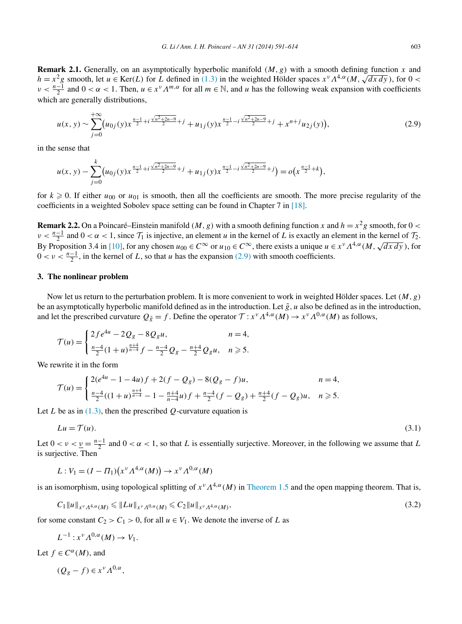<span id="page-12-0"></span>**Remark 2.1.** Generally, on an asymptotically hyperbolic manifold *(M, g)* with a smooth defining function *x* and  $h = x^2g$  smooth, let  $u \in \text{Ker}(L)$  for *L* defined in [\(1.3\)](#page-2-0) in the weighted Hölder spaces  $x^v A^{4,\alpha}(M, \sqrt{dx \, dy})$ , for 0 <  $\nu < \frac{n-1}{2}$  and  $0 < \alpha < 1$ . Then,  $u \in x^{\nu} \Lambda^{m, \alpha}$  for all  $m \in \mathbb{N}$ , and *u* has the following weak expansion with coefficients which are generally distributions,

$$
u(x, y) \sim \sum_{j=0}^{+\infty} \left( u_{0j}(y) x^{\frac{n-1}{2} + i \frac{\sqrt{n^2 + 2n - 9}}{2} + j} + u_{1j}(y) x^{\frac{n-1}{2} - i \frac{\sqrt{n^2 + 2n - 9}}{2} + j} + x^{n+j} u_{2j}(y) \right),\tag{2.9}
$$

in the sense that

$$
u(x, y) - \sum_{j=0}^{k} \left( u_{0j}(y)x^{\frac{n-1}{2} + i\frac{\sqrt{n^2 + 2n - 9}}{2} + j} + u_{1j}(y)x^{\frac{n-1}{2} - i\frac{\sqrt{n^2 + 2n - 9}}{2} + j} \right) = o\left(x^{\frac{n-1}{2} + k}\right),
$$

for  $k \geq 0$ . If either  $u_{00}$  or  $u_{01}$  is smooth, then all the coefficients are smooth. The more precise regularity of the coefficients in a weighted Sobolev space setting can be found in Chapter 7 in [\[18\].](#page-23-0)

**Remark 2.2.** On a Poincaré–Einstein manifold *(M, g)* with a smooth defining function *x* and  $h = x^2g$  smooth, for 0 <  $\nu < \frac{n-1}{2}$  and  $0 < \alpha < 1$ , since  $\mathcal{T}_1$  is injective, an element *u* in the kernel of *L* is exactly an element in the kernel of  $\mathcal{T}_2$ . By Proposition 3.4 in [\[10\],](#page-23-0) for any chosen  $u_{00} \in C^{\infty}$  or  $u_{10} \in C^{\infty}$ , there exists a unique  $u \in x^{\nu} \Lambda^{4,\alpha}(M, \sqrt{dx \, dy})$ , for  $0 < \nu < \frac{n-1}{2}$ , in the kernel of *L*, so that *u* has the expansion (2.9) with smooth coefficients.

# **3. The nonlinear problem**

Now let us return to the perturbation problem. It is more convenient to work in weighted Hölder spaces. Let *(M, g)* be an asymptotically hyperbolic manifold defined as in the introduction. Let  $\tilde{g}$ , u also be defined as in the introduction, and let the prescribed curvature  $Q_{\tilde{g}} = f$ . Define the operator  $\mathcal{T} : x^{\nu} \Lambda^{4,\alpha}(M) \to x^{\nu} \Lambda^{0,\alpha}(M)$  as follows,

$$
\mathcal{T}(u) = \begin{cases} 2fe^{4u} - 2Q_g - 8Q_g u, & n = 4, \\ \frac{n-4}{2}(1+u)^{\frac{n+4}{n-4}}f - \frac{n-4}{2}Q_g - \frac{n+4}{2}Q_g u, & n \ge 5. \end{cases}
$$

We rewrite it in the form

$$
\mathcal{T}(u) = \begin{cases} 2(e^{4u} - 1 - 4u)f + 2(f - Q_g) - 8(Q_g - f)u, & n = 4, \\ \frac{n-4}{2}((1+u)^{\frac{n+4}{n-4}} - 1 - \frac{n+4}{n-4}u)f + \frac{n-4}{2}(f - Q_g) + \frac{n+4}{2}(f - Q_g)u, & n \ge 5. \end{cases}
$$

Let *L* be as in  $(1.3)$ , then the prescribed *Q*-curvature equation is

$$
Lu = \mathcal{T}(u). \tag{3.1}
$$

Let  $0 < \nu < \underline{\nu} = \frac{n-1}{2}$  and  $0 < \alpha < 1$ , so that *L* is essentially surjective. Moreover, in the following we assume that *L* is surjective. Then

 $L: V_1 = (I - \Pi_1)(x^{\nu} \Lambda^{4,\alpha}(M)) \to x^{\nu} \Lambda^{0,\alpha}(M)$ 

is an isomorphism, using topological splitting of  $x^{\nu} \Lambda^{4,\alpha}(M)$  in [Theorem 1.5](#page-4-0) and the open mapping theorem. That is,

$$
C_1 \|u\|_{x^{\nu} A^{4,\alpha}(M)} \leq \|Lu\|_{x^{\nu} A^{0,\alpha}(M)} \leq C_2 \|u\|_{x^{\nu} A^{4,\alpha}(M)},
$$
\n(3.2)

for some constant  $C_2 > C_1 > 0$ , for all  $u \in V_1$ . We denote the inverse of *L* as

$$
L^{-1}: x^{\nu} \Lambda^{0,\alpha}(M) \to V_1.
$$

Let  $f \in C^{\alpha}(M)$ , and

 $(Q_{\alpha} - f) \in x^{\nu} A^{0, \alpha}$ ,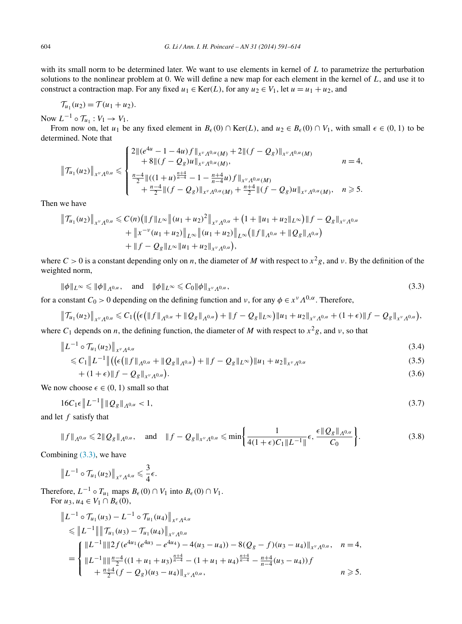<span id="page-13-0"></span>with its small norm to be determined later. We want to use elements in kernel of *L* to parametrize the perturbation solutions to the nonlinear problem at 0. We will define a new map for each element in the kernel of *L*, and use it to construct a contraction map. For any fixed  $u_1 \in \text{Ker}(L)$ , for any  $u_2 \in V_1$ , let  $u = u_1 + u_2$ , and

$$
\mathcal{T}_{u_1}(u_2) = \mathcal{T}(u_1 + u_2).
$$

Now  $L^{-1} \circ \mathcal{T}_{u_1} : V_1 \to V_1$ .

From now on, let *u*<sub>1</sub> be any fixed element in  $B_{\epsilon}(0) \cap \text{Ker}(L)$ , and  $u_2 \in B_{\epsilon}(0) \cap V_1$ , with small  $\epsilon \in (0, 1)$  to be determined. Note that

$$
\|\mathcal{T}_{u_1}(u_2)\|_{x^{\nu} \Lambda^{0,\alpha}} \leq \begin{cases} 2\|(e^{4u}-1-4u)f\|_{x^{\nu} \Lambda^{0,\alpha}(M)}+2\|(f-Q_g)\|_{x^{\nu} \Lambda^{0,\alpha}(M)} \\ +8\|(f-Q_g)u\|_{x^{\nu} \Lambda^{0,\alpha}(M)}, & n=4, \\ \frac{n-4}{2}\|( (1+u)^{\frac{n+4}{n-4}}-1-\frac{n+4}{n-4}u)f\|_{x^{\nu} \Lambda^{0,\alpha}(M)} \\ +\frac{n-4}{2}\|(f-Q_g)\|_{x^{\nu} \Lambda^{0,\alpha}(M)}+\frac{n+4}{2}\|(f-Q_g)u\|_{x^{\nu} \Lambda^{0,\alpha}(M)}, & n \geq 5. \end{cases}
$$

Then we have

$$
\|\mathcal{T}_{u_1}(u_2)\|_{x^{\nu}A^{0,\alpha}} \leq C(n) \left( \|f\|_{L^{\infty}} \|(u_1 + u_2)^2\|_{x^{\nu}A^{0,\alpha}} + (1 + \|u_1 + u_2\|_{L^{\infty}}) \|f - Q_g\|_{x^{\nu}A^{0,\alpha}} + \|x^{-\nu}(u_1 + u_2)\|_{L^{\infty}} \|(u_1 + u_2)\|_{L^{\infty}} (\|f\|_{A^{0,\alpha}} + \|Q_g\|_{A^{0,\alpha}}) + \|f - Q_g\|_{L^{\infty}} \|u_1 + u_2\|_{x^{\nu}A^{0,\alpha}}),
$$

where  $C > 0$  is a constant depending only on *n*, the diameter of *M* with respect to  $x^2g$ , and *v*. By the definition of the weighted norm,

$$
\|\phi\|_{L^{\infty}} \le \|\phi\|_{\Lambda^{0,\alpha}}, \quad \text{and} \quad \|\phi\|_{L^{\infty}} \le C_0 \|\phi\|_{x^{\nu} \Lambda^{0,\alpha}}, \tag{3.3}
$$

for a constant  $C_0 > 0$  depending on the defining function and *ν*, for any  $\phi \in x^{\nu} \Lambda^{0, \alpha}$ . Therefore,

$$
\|\mathcal{T}_{u_1}(u_2)\|_{x^{\nu}A^{0,\alpha}} \leq C_1\big(\big(\epsilon\big(\|f\|_{A^{0,\alpha}} + \|Q_g\|_{A^{0,\alpha}}\big) + \|f-Q_g\|_{L^{\infty}}\big)\|u_1+u_2\|_{x^{\nu}A^{0,\alpha}} + (1+\epsilon)\|f-Q_g\|_{x^{\nu}A^{0,\alpha}}\big),
$$

where  $C_1$  depends on *n*, the defining function, the diameter of *M* with respect to  $x^2g$ , and *v*, so that

$$
\|L^{-1} \circ \mathcal{T}_{u_1}(u_2)\|_{X^{\nu} A^{4,\alpha}}
$$
\n
$$
\leq C_1 \|L^{-1}\| \left( \left( \epsilon \left( \|f\|_{\Lambda^{0,\alpha}} + \|\mathcal{Q}_g\|_{\Lambda^{0,\alpha}} \right) + \|f - \mathcal{Q}_g\|_{L^\infty} \right) \|u_1 + u_2\|_{X^{\nu} A^{0,\alpha}}
$$
\n(3.5)

$$
+(1+\epsilon)\|f-Q_g\|_{x^{\nu}A^{0,\alpha}}\big).
$$
\n(3.6)

We now choose  $\epsilon \in (0, 1)$  small so that

$$
16C_1\epsilon \|L^{-1}\| \|Q_g\|_{A^{0,\alpha}} < 1,
$$
\n(3.7)

and let *f* satisfy that

$$
\|f\|_{\Lambda^{0,\alpha}} \leq 2\|Q_{g}\|_{\Lambda^{0,\alpha}}, \quad \text{and} \quad \|f - Q_{g}\|_{x^{\nu}\Lambda^{0,\alpha}} \leq \min\left\{\frac{1}{4(1+\epsilon)C_{1}\|L^{-1}\|}\epsilon, \frac{\epsilon\|Q_{g}\|_{\Lambda^{0,\alpha}}}{C_{0}}\right\}.
$$
 (3.8)

Combining (3.3), we have

$$
\|L^{-1}\circ\mathcal{T}_{u_1}(u_2)\|_{x^{\nu}\Lambda^{4,\alpha}}\leq \frac{3}{4}\epsilon.
$$

Therefore,  $L^{-1} \circ T_{u_1}$  maps  $B_{\epsilon}(0) \cap V_1$  into  $B_{\epsilon}(0) \cap V_1$ . For *u*<sub>3</sub>*, u*<sub>4</sub> ∈ *V*<sub>1</sub> ∩ *B*<sub> $\epsilon$ </sub>(0)*,* 

$$
\|L^{-1} \circ \mathcal{T}_{u_1}(u_3) - L^{-1} \circ \mathcal{T}_{u_1}(u_4)\|_{x^{\nu} A^{4,\alpha}}\n\le \|L^{-1}\| \|\mathcal{T}_{u_1}(u_3) - \mathcal{T}_{u_1}(u_4)\|_{x^{\nu} A^{0,\alpha}}\n\le \|L^{-1}\| \|2f(e^{4u_1}(e^{4u_3} - e^{4u_4}) - 4(u_3 - u_4)) - 8(Q_g - f)(u_3 - u_4)\|_{x^{\nu} A^{0,\alpha}}, \quad n = 4,
$$
\n
$$
= \begin{cases} \|L^{-1}\| \|2f(e^{4u_1}(e^{4u_3} - e^{4u_4}) - 4(u_3 - u_4)) - 8(Q_g - f)(u_3 - u_4)\|_{x^{\nu} A^{0,\alpha}}, & n = 4, \\ \|L^{-1}\| \| \frac{n-4}{2}((1+u_1+u_3)^{\frac{n+4}{n-4}} - (1+u_1+u_4)^{\frac{n+4}{n-4}} - \frac{n+4}{n-4}(u_3 - u_4))f & n \ge 5. \end{cases}
$$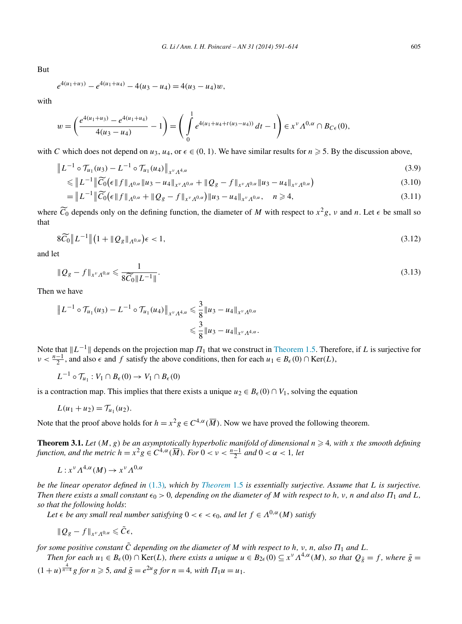<span id="page-14-0"></span>But

$$
e^{4(u_1+u_3)} - e^{4(u_1+u_4)} - 4(u_3-u_4) = 4(u_3-u_4)w
$$

with

$$
w = \left(\frac{e^{4(u_1+u_3)} - e^{4(u_1+u_4)}}{4(u_3-u_4)} - 1\right) = \left(\int_0^1 e^{4(u_1+u_4+t(u_3-u_4))} dt - 1\right) \in x^{\nu} \Lambda^{0,\alpha} \cap B_{C\epsilon}(0),
$$

with *C* which does not depend on  $u_3$ ,  $u_4$ , or  $\epsilon \in (0, 1)$ . We have similar results for  $n \ge 5$ . By the discussion above,

$$
\|L^{-1} \circ \mathcal{T}_{u_1}(u_3) - L^{-1} \circ \mathcal{T}_{u_1}(u_4)\|_{X^{\nu} A^{4,\alpha}}
$$
\n(3.9)

$$
\leq \|L^{-1}\|\widetilde{C_0}(\epsilon\|f\|_{\Lambda^{0,\alpha}}\|u_3-u_4\|_{x^{\nu}\Lambda^{0,\alpha}}+\|Q_g-f\|_{x^{\nu}\Lambda^{0,\alpha}}\|u_3-u_4\|_{x^{\nu}\Lambda^{0,\alpha}}) \tag{3.10}
$$

$$
= \|L^{-1}\|\widetilde{C_0}(\epsilon\|f\|_{\Lambda^{0,\alpha}} + \|\mathcal{Q}_g - f\|_{x^{\nu}\Lambda^{0,\alpha}})\|u_3 - u_4\|_{x^{\nu}\Lambda^{0,\alpha}}, \quad n \ge 4,
$$
\n(3.11)

where  $\widetilde{C}_0$  depends only on the defining function, the diameter of *M* with respect to  $x^2g$ , *v* and *n*. Let  $\epsilon$  be small so that

$$
8\widetilde{C}_0 \|L^{-1}\|(1 + \|Q_g\|_{\Lambda^{0,\alpha}})\epsilon < 1,\tag{3.12}
$$

and let

$$
\|Q_g - f\|_{x^{\nu}A^{0,\alpha}} \leq \frac{1}{8\widetilde{C}_0\|L^{-1}\|}.
$$
\n(3.13)

Then we have

$$
\|L^{-1} \circ \mathcal{T}_{u_1}(u_3) - L^{-1} \circ \mathcal{T}_{u_1}(u_4)\|_{x^{\nu} A^{4,\alpha}} \leq \frac{3}{8} \|u_3 - u_4\|_{x^{\nu} A^{0,\alpha}} \leq \frac{3}{8} \|u_3 - u_4\|_{x^{\nu} A^{4,\alpha}}.
$$

Note that  $\|L^{-1}\|$  depends on the projection map *Π*<sub>1</sub> that we construct in [Theorem 1.5.](#page-4-0) Therefore, if *L* is surjective for  $\nu < \frac{n-1}{2}$ , and also  $\epsilon$  and  $f$  satisfy the above conditions, then for each  $u_1 \in B_{\epsilon}(0) \cap \text{Ker}(L)$ ,

$$
L^{-1} \circ \mathcal{T}_{u_1} : V_1 \cap B_{\epsilon}(0) \to V_1 \cap B_{\epsilon}(0)
$$

is a contraction map. This implies that there exists a unique  $u_2 \in B_\epsilon(0) \cap V_1$ , solving the equation

$$
L(u_1 + u_2) = \mathcal{T}_{u_1}(u_2).
$$

Note that the proof above holds for  $h = x^2 g \in C^{4,\alpha}(\overline{M})$ . Now we have proved the following theorem.

**Theorem 3.1.** Let  $(M, g)$  be an asymptotically hyperbolic manifold of dimensional  $n \geq 4$ , with x the smooth defining *function, and the metric*  $h = x^2 g \in C^{4,\alpha}(\overline{M})$ *. For*  $0 < v < \frac{n-1}{2}$  *and*  $0 < \alpha < 1$ *, let* 

$$
L: x^{\nu} \Lambda^{4,\alpha}(M) \to x^{\nu} \Lambda^{0,\alpha}
$$

*be the linear operator defined in* [\(1.3\)](#page-2-0)*, which by [Theorem](#page-4-0)* 1.5 *is essentially surjective. Assume that L is surjective. Then there exists a small constant*  $\epsilon_0 > 0$ , depending on the diameter of M with respect to h, v, n and also  $\Pi_1$  and L, *so that the following holds*:

*Let*  $\epsilon$  *be any small real number satisfying*  $0 < \epsilon < \epsilon_0$ *, and let*  $f \in \Lambda^{0,\alpha}(M)$  *satisfy* 

$$
\|\mathcal{Q}_g - f\|_{x^{\nu}A^{0,\alpha}} \leqslant \tilde{C}\epsilon,
$$

*for some positive constant*  $\tilde{C}$  *depending on the diameter of*  $M$  *with respect to*  $h$ *,*  $v$ *,*  $n$ *, also*  $\Pi_1$  *and*  $L$ *.* 

Then for each  $u_1 \in B_{\epsilon}(0) \cap \text{Ker}(L)$ , there exists a unique  $u \in B_{2\epsilon}(0) \subseteq x^{\nu} \Lambda^{4,\alpha}(M)$ , so that  $Q_{\tilde{g}} = f$ , where  $\tilde{g} = g$  $(1 + u)^{\frac{4}{n-4}} g$  *for*  $n \ge 5$ *, and*  $\tilde{g} = e^{2u} g$  *for*  $n = 4$ *, with*  $\Pi_1 u = u_1$ *.*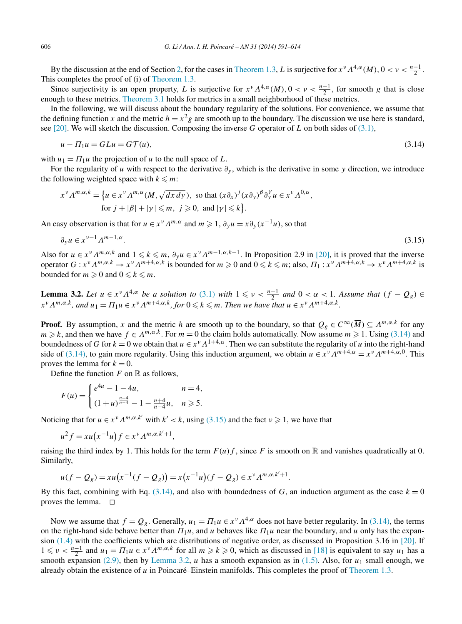By the discussion at the end of Section [2,](#page-4-0) for the cases in [Theorem 1.3,](#page-2-0) *L* is surjective for  $x^{\nu} \Lambda^{4,\alpha}(M)$ ,  $0 < \nu < \frac{n-1}{2}$ . This completes the proof of (i) of [Theorem 1.3.](#page-2-0)

Since surjectivity is an open property, *L* is surjective for  $x^{\nu} \Lambda^{4,\alpha}(M)$ ,  $0 < \nu < \frac{n-1}{2}$ , for smooth *g* that is close enough to these metrics. [Theorem 3.1](#page-14-0) holds for metrics in a small neighborhood of these metrics.

In the following, we will discuss about the boundary regularity of the solutions. For convenience, we assume that the defining function *x* and the metric  $h = x^2g$  are smooth up to the boundary. The discussion we use here is standard, see [\[20\].](#page-23-0) We will sketch the discussion. Composing the inverse *G* operator of *L* on both sides of [\(3.1\),](#page-12-0)

$$
u - \Pi_1 u = GLu = GT(u),\tag{3.14}
$$

with  $u_1 = \prod_1 u$  the projection of *u* to the null space of *L*.

For the regularity of *u* with respect to the derivative *∂y* , which is the derivative in some *y* direction, we introduce the following weighted space with  $k \leq m$ :

$$
x^{\nu} \Lambda^{m,\alpha,k} = \left\{ u \in x^{\nu} \Lambda^{m,\alpha}(M, \sqrt{dx \, dy}), \text{ so that } (x \partial_x)^j (x \partial_y)^{\beta} \partial_y^{\nu} u \in x^{\nu} \Lambda^{0,\alpha}, \right\}
$$
  
for  $j + |\beta| + |\gamma| \le m, j \ge 0$ , and  $|\gamma| \le k \right\}.$ 

An easy observation is that for  $u \in x^{\nu} \Lambda^{m,\alpha}$  and  $m \geq 1$ ,  $\partial_y u = x \partial_y (x^{-1}u)$ , so that

$$
\partial_y u \in x^{y-1} A^{m-1, \alpha}.
$$
\n(3.15)

Also for  $u \in x^{\nu} \Lambda^{m,\alpha,k}$  and  $1 \leq k \leq m$ ,  $\partial_y u \in x^{\nu} \Lambda^{m-1,\alpha,k-1}$ . In Proposition 2.9 in [\[20\],](#page-23-0) it is proved that the inverse operator  $G: x^{\nu} \Lambda^{m, \alpha, k} \to x^{\nu} \Lambda^{m+4, \alpha, k}$  is bounded for  $m \geq 0$  and  $0 \leq k \leq m$ ; also,  $\Pi_1: x^{\nu} \Lambda^{m+4, \alpha, k} \to x^{\nu} \Lambda^{m+4, \alpha, k}$  is bounded for  $m \geqslant 0$  and  $0 \leqslant k \leqslant m$ .

**Lemma 3.2.** *Let*  $u \in x^{\nu} A^{4,\alpha}$  *be a solution to* [\(3.1\)](#page-12-0) *with*  $1 \leq \nu < \frac{n-1}{2}$  *and*  $0 < \alpha < 1$ *. Assume that*  $(f - Q_g) \in$  $x^{\nu} A^{m, \alpha, k}$ , and  $u_1 = \Pi_1 u \in x^{\nu} A^{m+4, \alpha, k}$ , for  $0 \leqslant k \leqslant m$ . Then we have that  $u \in x^{\nu} A^{m+4, \alpha, k}$ .

**Proof.** By assumption, *x* and the metric *h* are smooth up to the boundary, so that  $Q_g \in C^\infty(\overline{M}) \subseteq \Lambda^{m,\alpha,k}$  for any  $m \ge k$ , and then we have  $f \in \Lambda^{m,\alpha,k}$ . For  $m=0$  the claim holds automatically. Now assume  $m \ge 1$ . Using (3.14) and boundedness of *G* for  $k = 0$  we obtain that  $u \in x^{\nu} \Lambda^{1+4,\alpha}$ . Then we can substitute the regularity of *u* into the right-hand side of (3.14), to gain more regularity. Using this induction argument, we obtain  $u \in x^{\nu} \Lambda^{m+4,\alpha} = x^{\nu} \Lambda^{m+4,\alpha,0}$ . This proves the lemma for  $k = 0$ .

Define the function  $F$  on  $\mathbb R$  as follows,

$$
F(u) = \begin{cases} e^{4u} - 1 - 4u, & n = 4, \\ (1+u)^{\frac{n+4}{n-4}} - 1 - \frac{n+4}{n-4}u, & n \ge 5. \end{cases}
$$

Noticing that for  $u \in x^{\nu} A^{m, \alpha, k'}$  with  $k' < k$ , using (3.15) and the fact  $\nu \ge 1$ , we have that

$$
u2 f = xu(x-1u) f \in xv \Lambdam, \alpha, k'+1,
$$

raising the third index by 1. This holds for the term  $F(u) f$ , since *F* is smooth on R and vanishes quadratically at 0. Similarly,

$$
u(f - Q_g) = xu(x^{-1}(f - Q_g)) = x(x^{-1}u)(f - Q_g) \in x^{\nu} \Lambda^{m, \alpha, k'+1}.
$$

By this fact, combining with Eq.  $(3.14)$ , and also with boundedness of *G*, an induction argument as the case  $k = 0$ proves the lemma.  $\square$ 

Now we assume that  $f = Q_g$ . Generally,  $u_1 = \Pi_1 u \in x^{\nu} \Lambda^{4,\alpha}$  does not have better regularity. In (3.14), the terms on the right-hand side behave better than  $\Pi_1u$ , and *u* behaves like  $\Pi_1u$  near the boundary, and *u* only has the expansion [\(1.4\)](#page-2-0) with the coefficients which are distributions of negative order, as discussed in Proposition 3.16 in [\[20\].](#page-23-0) If  $1 \leq v < \frac{n-1}{2}$  and  $u_1 = \prod_1 u \in x^v \Lambda^{m,\alpha,k}$  for all  $m \geq k \geq 0$ , which as discussed in [\[18\]](#page-23-0) is equivalent to say  $u_1$  has a smooth expansion [\(2.9\),](#page-12-0) then by Lemma 3.2, *u* has a smooth expansion as in [\(1.5\).](#page-3-0) Also, for  $u_1$  small enough, we already obtain the existence of *u* in Poincaré–Einstein manifolds. This completes the proof of [Theorem 1.3.](#page-2-0)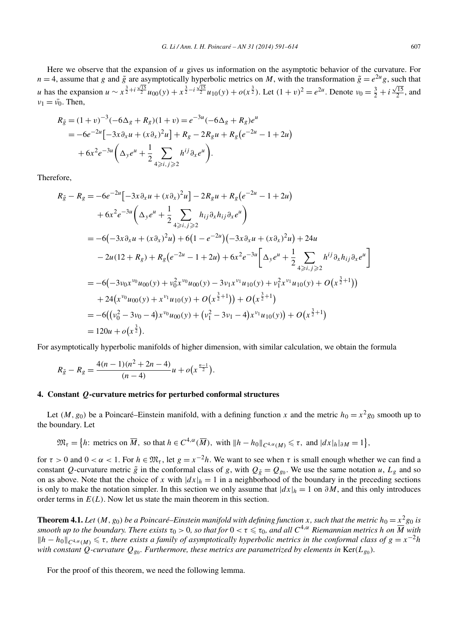<span id="page-16-0"></span>Here we observe that the expansion of *u* gives us information on the asymptotic behavior of the curvature. For  $n = 4$ , assume that *g* and  $\tilde{g}$  are asymptotically hyperbolic metrics on *M*, with the transformation  $\tilde{g} = e^{2u}g$ , such that *u* has the expansion  $u \sim x^{\frac{3}{2} + i \frac{\sqrt{15}}{2}}$  $\frac{2}{2}$  *u*<sub>00</sub>(y) +  $x^{\frac{3}{2}-i\frac{\sqrt{15}}{2}}$  *u*<sub>10</sub>(y) +  $o(x^{\frac{3}{2}})$ . Let  $(1 + v)^2 = e^{2u}$ . Denote  $v_0 = \frac{3}{2} + i\frac{\sqrt{15}}{2}$ , and  $v_1 = \bar{v_0}$ . Then,

$$
R_{\tilde{g}} = (1+v)^{-3}(-6\Delta_g + R_g)(1+v) = e^{-3u}(-6\Delta_g + R_g)e^u
$$
  
=  $-6e^{-2u}[-3x\partial_x u + (x\partial_x)^2 u] + R_g - 2R_g u + R_g(e^{-2u} - 1 + 2u)$   
+  $6x^2e^{-3u}(\Delta_y e^u + \frac{1}{2}\sum_{4 \ge \tilde{s}, j \ge 2} h^{ij}\partial_x e^u).$ 

Therefore,

$$
R_{\tilde{g}} - R_g = -6e^{-2u} \left[ -3x \partial_x u + (x \partial_x)^2 u \right] - 2R_g u + R_g (e^{-2u} - 1 + 2u)
$$
  
+  $6x^2 e^{-3u} \left( \Delta_y e^u + \frac{1}{2} \sum_{4 \ge i, j \ge 2} h_{ij} \partial_x h_{ij} \partial_x e^u \right)$   
=  $-6(-3x \partial_x u + (x \partial_x)^2 u) + 6(1 - e^{-2u}) (-3x \partial_x u + (x \partial_x)^2 u) + 24u$   
 $- 2u(12 + R_g) + R_g (e^{-2u} - 1 + 2u) + 6x^2 e^{-3u} \left[ \Delta_y e^u + \frac{1}{2} \sum_{4 \ge i, j \ge 2} h^{ij} \partial_x h_{ij} \partial_x e^u \right]$   
=  $-6(-3v_0 x^{v_0} u_{00}(y) + v_0^2 x^{v_0} u_{00}(y) - 3v_1 x^{v_1} u_{10}(y) + v_1^2 x^{v_1} u_{10}(y) + O(x^{\frac{3}{2}+1}))$   
+  $24(x^{v_0} u_{00}(y) + x^{v_1} u_{10}(y) + O(x^{\frac{3}{2}+1})) + O(x^{\frac{3}{2}+1})$   
=  $-6((v_0^2 - 3v_0 - 4)x^{v_0} u_{00}(y) + (v_1^2 - 3v_1 - 4)x^{v_1} u_{10}(y)) + O(x^{\frac{3}{2}+1})$   
=  $120u + o(x^{\frac{3}{2}}).$ 

For asymptotically hyperbolic manifolds of higher dimension, with similar calculation, we obtain the formula

$$
R_{\tilde{g}} - R_g = \frac{4(n-1)(n^2 + 2n - 4)}{(n-4)}u + o\left(x^{\frac{n-1}{2}}\right).
$$

# **4. Constant** *Q***-curvature metrics for perturbed conformal structures**

Let  $(M, g_0)$  be a Poincaré–Einstein manifold, with a defining function *x* and the metric  $h_0 = x^2 g_0$  smooth up to the boundary. Let

$$
\mathfrak{M}_{\tau} = \left\{ h \colon \text{metrics on } \overline{M}, \text{ so that } h \in C^{4,\alpha}(\overline{M}), \text{ with } \|h - h_0\|_{C^{4,\alpha}(M)} \leq \tau, \text{ and } |dx|_{h}|_{\partial M} = 1 \right\},\
$$

for  $\tau > 0$  and  $0 < \alpha < 1$ . For  $h \in \mathfrak{M}_{\tau}$ , let  $g = x^{-2}h$ . We want to see when  $\tau$  is small enough whether we can find a constant *Q*-curvature metric  $\tilde{g}$  in the conformal class of *g*, with  $Q_{\tilde{g}} = Q_{g_0}$ . We use the same notation *u*,  $L_g$  and so on as above. Note that the choice of *x* with  $|dx|_h = 1$  in a neighborhood of the boundary in the preceding sections is only to make the notation simpler. In this section we only assume that  $|dx|_h = 1$  on  $\partial M$ , and this only introduces order terms in  $E(L)$ . Now let us state the main theorem in this section.

**Theorem 4.1.** Let  $(M, g_0)$  be a Poincaré–Einstein manifold with defining function *x*, such that the metric  $h_0 = x^2 g_0$  is *smooth up to the boundary. There exists*  $\tau_0 > 0$ *, so that for*  $0 < \tau \le \tau_0$ *, and all*  $C^{4,\alpha}$  *Riemannian metrics h* on  $\overline{M}$  with  $||h - h_0||_{C^{4,\alpha}(M)}$  ≤  $\tau$ , there exists a family of asymptotically hyperbolic metrics in the conformal class of  $g = x^{-2}h$ *with constant* Q-curvature  $Q_{g_0}$ *. Furthermore, these metrics are parametrized by elements in* Ker( $L_{g_0}$ )*.* 

For the proof of this theorem, we need the following lemma.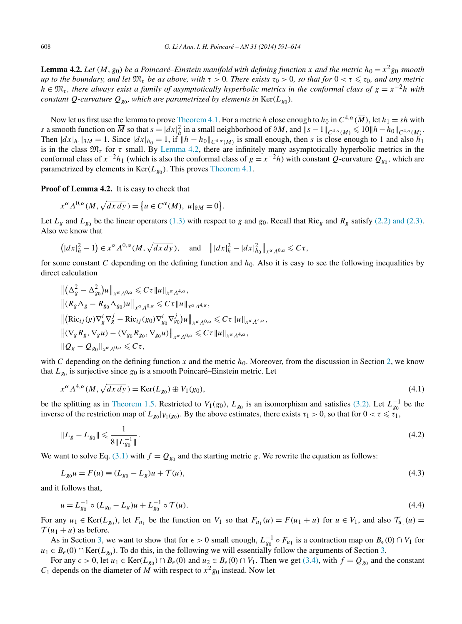<span id="page-17-0"></span>**Lemma 4.2.** *Let*  $(M, g_0)$  *be a Poincaré–Einstein manifold with defining function x and the metric*  $h_0 = x^2 g_0$  *smooth up to the boundary, and let*  $\mathfrak{M}_{\tau}$  *be as above, with*  $\tau > 0$ *. There exists*  $\tau_0 > 0$ *, so that for*  $0 < \tau \leq \tau_0$ *, and any metric*  $h \in \mathfrak{M}_{\tau}$ , there always exist a family of asymptotically hyperbolic metrics in the conformal class of  $g = x^{-2}h$  with *constant* Q-curvature  $Q_{g_0}$ , which are parametrized by elements in Ker( $L_{g_0}$ ).

Now let us first use the lemma to prove [Theorem 4.1.](#page-16-0) For a metric *h* close enough to  $h_0$  in  $C^{4,\alpha}(\overline{M})$ , let  $h_1 = sh$  with *s* a smooth function on  $\overline{M}$  so that  $s = |dx|_h^2$  in a small neighborhood of  $\partial M$ , and  $||s - 1||_{C^{4,\alpha}(M)} \leq 10||h - h_0||_{C^{4,\alpha}(M)}$ . Then  $|dx|_{h_1}|_{\partial M} = 1$ . Since  $|dx|_{h_0} = 1$ , if  $||h - h_0||_{C^{4,\alpha}(M)}$  is small enough, then *s* is close enough to 1 and also  $h_1$ is in the class  $\mathfrak{M}_{\tau}$  for  $\tau$  small. By Lemma 4.2, there are infinitely many asymptotically hyperbolic metrics in the conformal class of  $x^{-2}h_1$  (which is also the conformal class of  $g = x^{-2}h$ ) with constant *Q*-curvature  $Q_{g_0}$ , which are parametrized by elements in  $\text{Ker}(L_{g_0})$ . This proves [Theorem 4.1.](#page-16-0)

**Proof of Lemma 4.2.** It is easy to check that

$$
x^{\alpha} \Lambda^{0,\alpha}(M, \sqrt{dx\,dy}) = \{ u \in C^{\alpha}(\overline{M}), \ u|_{\partial M} = 0 \}.
$$

Let  $L_g$  and  $L_{g_0}$  be the linear operators [\(1.3\)](#page-2-0) with respect to *g* and  $g_0$ . Recall that Ric<sub>g</sub> and  $R_g$  satisfy [\(2.2\) and \(2.3\).](#page-5-0) Also we know that

$$
(|dx|_h^2 - 1) \in x^{\alpha} \Lambda^{0,\alpha}(M, \sqrt{dx\,dy}), \quad \text{and} \quad ||dx|_h^2 - |dx|_{h_0}^2||_{x^{\alpha} \Lambda^{0,\alpha}} \leq C\tau,
$$

for some constant *C* depending on the defining function and  $h_0$ . Also it is easy to see the following inequalities by direct calculation

$$
\begin{aligned}\n\|(\Delta_g^2 - \Delta_{g_0}^2)u\|_{x^\alpha \Lambda^{0,\alpha}} &\leq C\tau \|u\|_{x^\alpha \Lambda^{4,\alpha}}, \\
\|(R_g \Delta_g - R_{g_0} \Delta_{g_0})u\|_{x^\alpha \Lambda^{0,\alpha}} &\leq C\tau \|u\|_{x^\alpha \Lambda^{4,\alpha}}, \\
\|(\text{Ric}_{ij}(g)\nabla_g^j \nabla_g^j - \text{Ric}_{ij}(g_0)\nabla_{g_0}^j \nabla_{g_0}^j)u\|_{x^\alpha \Lambda^{0,\alpha}} &\leq C\tau \|u\|_{x^\alpha \Lambda^{4,\alpha}}, \\
\|(\nabla_g R_g, \nabla_g u) - (\nabla_{g_0} R_{g_0}, \nabla_{g_0} u)\|_{x^\alpha \Lambda^{0,\alpha}} &\leq C\tau \|u\|_{x^\alpha \Lambda^{4,\alpha}}, \\
\|Q_g - Q_{g_0}\|_{x^\alpha \Lambda^{0,\alpha}} &\leq C\tau,\n\end{aligned}
$$

with *C* depending on the defining function *x* and the metric  $h_0$ . Moreover, from the discussion in Section [2,](#page-4-0) we know that  $L_{g_0}$  is surjective since  $g_0$  is a smooth Poincaré–Einstein metric. Let

$$
x^{\alpha} \Lambda^{4,\alpha}(M, \sqrt{dx \, dy}) = \text{Ker}(L_{g_0}) \oplus V_1(g_0),\tag{4.1}
$$

be the splitting as in [Theorem 1.5.](#page-4-0) Restricted to  $V_1(g_0)$ ,  $L_{g_0}$  is an isomorphism and satisfies [\(3.2\).](#page-12-0) Let  $L_{g_0}^{-1}$  be the inverse of the restriction map of  $L_{g_0}|_{V_1(g_0)}$ . By the above estimates, there exists  $\tau_1 > 0$ , so that for  $0 < \tau \leq \tau_1$ ,

$$
||L_g - L_{g_0}|| \leqslant \frac{1}{8||L_{g_0}^{-1}||}.\tag{4.2}
$$

We want to solve Eq. [\(3.1\)](#page-12-0) with  $f = Q_{g_0}$  and the starting metric g. We rewrite the equation as follows:

$$
L_{g_0}u = F(u) \equiv (L_{g_0} - L_g)u + \mathcal{T}(u),\tag{4.3}
$$

and it follows that,

$$
u = L_{g_0}^{-1} \circ (L_{g_0} - L_g)u + L_{g_0}^{-1} \circ \mathcal{T}(u). \tag{4.4}
$$

For any  $u_1 \in \text{Ker}(L_{g_0})$ , let  $F_{u_1}$  be the function on  $V_1$  so that  $F_{u_1}(u) = F(u_1 + u)$  for  $u \in V_1$ , and also  $\mathcal{T}_{u_1}(u) =$  $\mathcal{T}(u_1 + u)$  as before.

As in Section [3,](#page-12-0) we want to show that for  $\epsilon > 0$  small enough,  $L_{g_0}^{-1} \circ F_{u_1}$  is a contraction map on  $B_{\epsilon}(0) \cap V_1$  for  $u_1 \in B_\epsilon(0) \cap \text{Ker}(L_{g_0})$ . To do this, in the following we will essentially follow the arguments of Section [3.](#page-12-0)

For any  $\epsilon > 0$ , let  $u_1 \in \text{Ker}(L_{g_0}) \cap B_{\epsilon}(0)$  and  $u_2 \in B_{\epsilon}(0) \cap V_1$ . Then we get [\(3.4\),](#page-13-0) with  $f = Q_{g_0}$  and the constant  $C_1$  depends on the diameter of *M* with respect to  $x^2g_0$  instead. Now let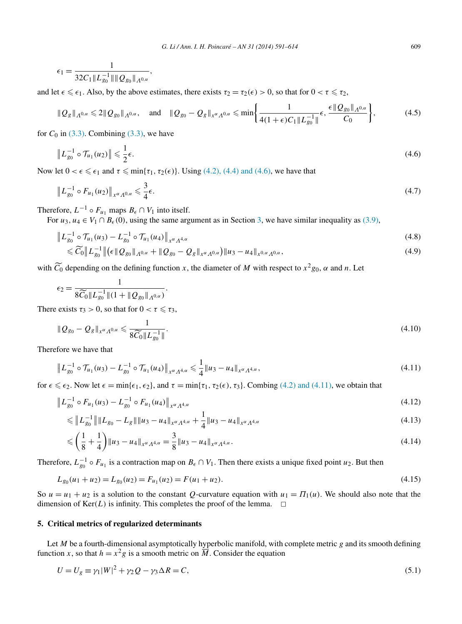<span id="page-18-0"></span>
$$
\epsilon_1 = \frac{1}{32C_1 \|L_{g_0}^{-1}\| \|Q_{g_0}\|_{A^{0,\alpha}}},
$$

and let  $\epsilon \leq \epsilon_1$ . Also, by the above estimates, there exists  $\tau_2 = \tau_2(\epsilon) > 0$ , so that for  $0 < \tau \leq \tau_2$ ,

$$
\|Q_{g}\|_{\Lambda^{0,\alpha}} \leq 2\|Q_{g_{0}}\|_{\Lambda^{0,\alpha}}, \quad \text{and} \quad \|Q_{g_{0}} - Q_{g}\|_{\chi^{\alpha}\Lambda^{0,\alpha}} \leq \min\bigg\{\frac{1}{4(1+\epsilon)C_{1}\|L_{g_{0}}^{-1}\|}\epsilon, \frac{\epsilon\|Q_{g_{0}}\|_{\Lambda^{0,\alpha}}}{C_{0}}\bigg\},\tag{4.5}
$$

for  $C_0$  in [\(3.3\).](#page-13-0) Combining [\(3.3\),](#page-13-0) we have

$$
\left\| L_{g_0}^{-1} \circ \mathcal{T}_{u_1}(u_2) \right\| \leqslant \frac{1}{2} \epsilon. \tag{4.6}
$$

Now let  $0 < \epsilon \leq \epsilon_1$  and  $\tau \leq \min{\lbrace \tau_1, \tau_2(\epsilon) \rbrace}$ . Using [\(4.2\), \(4.4\) and \(4.6\),](#page-17-0) we have that

$$
\|L_{g_0}^{-1} \circ F_{u_1}(u_2)\|_{x^{\alpha} A^{0,\alpha}} \leq \frac{3}{4} \epsilon. \tag{4.7}
$$

Therefore,  $L^{-1} \circ F_{u_1}$  maps  $B_{\epsilon} \cap V_1$  into itself.

For  $u_3, u_4 \in V_1 \cap B_6(0)$  $u_3, u_4 \in V_1 \cap B_6(0)$  $u_3, u_4 \in V_1 \cap B_6(0)$ , using the same argument as in Section 3, we have similar inequality as [\(3.9\),](#page-14-0)

$$
\|L_{g_0}^{-1} \circ \mathcal{T}_{u_1}(u_3) - L_{g_0}^{-1} \circ \mathcal{T}_{u_1}(u_4)\|_{x^{\alpha} A^{4,\alpha}}
$$
\n(4.8)

$$
\leq \widetilde{C}_0 \|L_{g_0}^{-1}\| \left(\epsilon \|Q_{g_0}\|_{\Lambda^{0,\alpha}} + \|Q_{g_0} - Q_g\|_{\Lambda^\alpha \Lambda^{0,\alpha}}\right) \|u_3 - u_4\|_{\Lambda^{0,\alpha} \Lambda^{0,\alpha}}, \tag{4.9}
$$

with  $\widetilde{C}_0$  depending on the defining function *x*, the diameter of *M* with respect to  $x^2g_0$ ,  $\alpha$  and *n*. Let

$$
\epsilon_2 = \frac{1}{8\widetilde{C}_0 \|L_{g_0}^{-1}\|(1 + \|Q_{g_0}\|_{A^{0,\alpha}})}.
$$

There exists  $\tau_3 > 0$ , so that for  $0 < \tau \leq \tau_3$ ,

$$
\|Q_{g_0} - Q_g\|_{x^{\alpha} \Lambda^{0,\alpha}} \leq \frac{1}{8\widetilde{C_0} \|L_{g_0}^{-1}\|}.
$$
\n(4.10)

Therefore we have that

$$
\left\| L_{g_0}^{-1} \circ \mathcal{T}_{u_1}(u_3) - L_{g_0}^{-1} \circ \mathcal{T}_{u_1}(u_4) \right\|_{x^\alpha A^{4,\alpha}} \leq \frac{1}{4} \| u_3 - u_4 \|_{x^\alpha A^{4,\alpha}}, \tag{4.11}
$$

for  $\epsilon \leq \epsilon_2$ . Now let  $\epsilon = \min{\{\epsilon_1, \epsilon_2\}}$ , and  $\tau = \min{\{\tau_1, \tau_2(\epsilon), \tau_3\}}$ . Combing [\(4.2\) and \(4.11\),](#page-17-0) we obtain that

$$
\|L_{g_0}^{-1} \circ F_{u_1}(u_3) - L_{g_0}^{-1} \circ F_{u_1}(u_4)\|_{X^{\alpha} A^{4,\alpha}}
$$
\n(4.12)

$$
\leqslant \|L_{g_0}^{-1}\| \|L_{g_0} - L_g\| \|u_3 - u_4\|_{X^{\alpha} A^{4,\alpha}} + \frac{1}{4} \|u_3 - u_4\|_{X^{\alpha} A^{4,\alpha}}
$$
\n
$$
\tag{4.13}
$$

$$
\leqslant \left(\frac{1}{8} + \frac{1}{4}\right) \|u_3 - u_4\|_{x^\alpha A^{4,\alpha}} = \frac{3}{8} \|u_3 - u_4\|_{x^\alpha A^{4,\alpha}}.
$$
\n
$$
(4.14)
$$

Therefore,  $L_{g_0}^{-1} \circ F_{u_1}$  is a contraction map on  $B_{\epsilon} \cap V_1$ . Then there exists a unique fixed point  $u_2$ . But then

$$
L_{g_0}(u_1 + u_2) = L_{g_0}(u_2) = F_{u_1}(u_2) = F(u_1 + u_2).
$$
\n(4.15)

So  $u = u_1 + u_2$  is a solution to the constant *Q*-curvature equation with  $u_1 = \Pi_1(u)$ . We should also note that the dimension of  $Ker(L)$  is infinity. This completes the proof of the lemma.  $\Box$ 

### **5. Critical metrics of regularized determinants**

Let *M* be a fourth-dimensional asymptotically hyperbolic manifold, with complete metric *g* and its smooth defining function *x*, so that  $h = x^2 g$  is a smooth metric on  $\overline{M}$ . Consider the equation

$$
U = U_g \equiv \gamma_1 |W|^2 + \gamma_2 Q - \gamma_3 \Delta R = C,\tag{5.1}
$$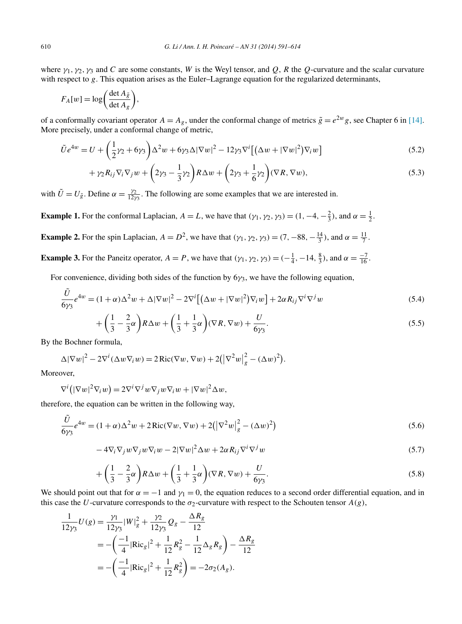<span id="page-19-0"></span>where *γ*1*, γ*2*, γ*<sup>3</sup> and *C* are some constants, *W* is the Weyl tensor, and *Q*, *R* the *Q*-curvature and the scalar curvature with respect to g. This equation arises as the Euler–Lagrange equation for the regularized determinants,

$$
F_A[w] = \log\bigg(\frac{\det A_{\tilde{g}}}{\det A_g}\bigg),\,
$$

 $\mathcal{L}$ 

of a conformally covariant operator  $A = A_g$ , under the conformal change of metrics  $\tilde{g} = e^{2w}g$ , see Chapter 6 in [\[14\].](#page-23-0) More precisely, under a conformal change of metric,

$$
\tilde{U}e^{4w} = U + \left(\frac{1}{2}\gamma_2 + 6\gamma_3\right)\Delta^2 w + 6\gamma_3\Delta|\nabla w|^2 - 12\gamma_3\nabla^i\left[\left(\Delta w + |\nabla w|^2\right)\nabla_i w\right]
$$
\n(5.2)

$$
+\gamma_2 R_{ij}\nabla_i\nabla_j w + \left(2\gamma_3 - \frac{1}{3}\gamma_2\right)R\Delta w + \left(2\gamma_3 + \frac{1}{6}\gamma_2\right)(\nabla R, \nabla w),\tag{5.3}
$$

with  $\tilde{U} = U_{\tilde{g}}$ . Define  $\alpha = \frac{\gamma_2}{12\gamma_3}$ . The following are some examples that we are interested in.

**Example 1.** For the conformal Laplacian,  $A = L$ , we have that  $(\gamma_1, \gamma_2, \gamma_3) = (1, -4, -\frac{2}{3})$ , and  $\alpha = \frac{1}{2}$ .

**Example 2.** For the spin Laplacian,  $A = D^2$ , we have that  $(\gamma_1, \gamma_2, \gamma_3) = (7, -88, -\frac{14}{3})$ , and  $\alpha = \frac{11}{7}$ .

**Example 3.** For the Paneitz operator,  $A = P$ , we have that  $(\gamma_1, \gamma_2, \gamma_3) = (-\frac{1}{4}, -14, \frac{8}{3})$ , and  $\alpha = \frac{-7}{16}$ .

For convenience, dividing both sides of the function by 6*γ*3, we have the following equation,

$$
\frac{\tilde{U}}{6\gamma_3}e^{4w} = (1+\alpha)\Delta^2 w + \Delta|\nabla w|^2 - 2\nabla^i\left[\left(\Delta w + |\nabla w|^2\right)\nabla_i w\right] + 2\alpha R_{ij}\nabla^i\nabla^j w
$$
\n(5.4)

$$
+\left(\frac{1}{3} - \frac{2}{3}\alpha\right)R\Delta w + \left(\frac{1}{3} + \frac{1}{3}\alpha\right)(\nabla R, \nabla w) + \frac{U}{6\gamma_3}.
$$
\n(5.5)

By the Bochner formula,

$$
\Delta |\nabla w|^2 - 2\nabla^i (\Delta w \nabla_i w) = 2 \text{Ric}(\nabla w, \nabla w) + 2(|\nabla^2 w|_g^2 - (\Delta w)^2).
$$

Moreover,

$$
\nabla^i (|\nabla w|^2 \nabla_i w) = 2 \nabla^i \nabla^j w \nabla_j w \nabla_i w + |\nabla w|^2 \Delta w,
$$

therefore, the equation can be written in the following way,

$$
\frac{\tilde{U}}{6\gamma_3}e^{4w} = (1+\alpha)\Delta^2 w + 2\text{Ric}(\nabla w, \nabla w) + 2(|\nabla^2 w|_g^2 - (\Delta w)^2)
$$
\n(5.6)

$$
-4\nabla_i \nabla_j w \nabla_j w \nabla_i w - 2|\nabla w|^2 \Delta w + 2\alpha R_{ij} \nabla^i \nabla^j w \tag{5.7}
$$

$$
+\left(\frac{1}{3} - \frac{2}{3}\alpha\right)R\Delta w + \left(\frac{1}{3} + \frac{1}{3}\alpha\right)(\nabla R, \nabla w) + \frac{U}{6\gamma_3}.
$$
\n(5.8)

We should point out that for  $\alpha = -1$  and  $\gamma_1 = 0$ , the equation reduces to a second order differential equation, and in this case the *U*-curvature corresponds to the  $\sigma_2$ -curvature with respect to the Schouten tensor  $A(g)$ ,

$$
\frac{1}{12\gamma_3}U(g) = \frac{\gamma_1}{12\gamma_3}|W|_g^2 + \frac{\gamma_2}{12\gamma_3}Q_g - \frac{\Delta R_g}{12}
$$
  
=  $-\left(\frac{-1}{4}|\text{Ric}_g|^2 + \frac{1}{12}R_g^2 - \frac{1}{12}\Delta_g R_g\right) - \frac{\Delta R_g}{12}$   
=  $-\left(\frac{-1}{4}|\text{Ric}_g|^2 + \frac{1}{12}R_g^2\right) = -2\sigma_2(A_g).$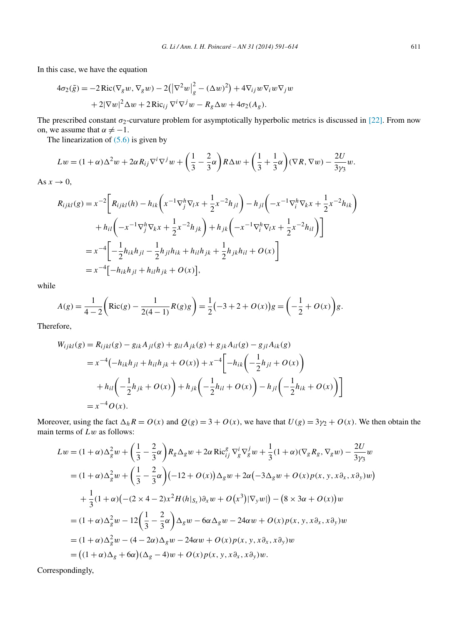In this case, we have the equation

$$
4\sigma_2(\tilde{g}) = -2 \operatorname{Ric}(\nabla_g w, \nabla_g w) - 2(|\nabla^2 w|_g^2 - (\Delta w)^2) + 4\nabla_{ij} w \nabla_i w \nabla_j w
$$

$$
+ 2|\nabla w|^2 \Delta w + 2 \operatorname{Ric}_{ij} \nabla^i \nabla^j w - R_g \Delta w + 4\sigma_2(A_g).
$$

The prescribed constant  $\sigma_2$ -curvature problem for asymptotically hyperbolic metrics is discussed in [\[22\].](#page-23-0) From now on, we assume that  $\alpha \neq -1$ .

The linearization of  $(5.6)$  is given by

$$
Lw = (1+\alpha)\Delta^2 w + 2\alpha R_{ij}\nabla^i \nabla^j w + \left(\frac{1}{3} - \frac{2}{3}\alpha\right) R\Delta w + \left(\frac{1}{3} + \frac{1}{3}\alpha\right) (\nabla R, \nabla w) - \frac{2U}{3\gamma_3} w.
$$

As  $x \to 0$ ,

$$
R_{ijkl}(g) = x^{-2} \bigg[ R_{ijkl}(h) - h_{ik} \bigg( x^{-1} \nabla_j^h \nabla_l x + \frac{1}{2} x^{-2} h_{jl} \bigg) - h_{jl} \bigg( -x^{-1} \nabla_i^h \nabla_k x + \frac{1}{2} x^{-2} h_{ik} \bigg) + h_{il} \bigg( -x^{-1} \nabla_j^h \nabla_k x + \frac{1}{2} x^{-2} h_{jk} \bigg) + h_{jk} \bigg( -x^{-1} \nabla_i^h \nabla_l x + \frac{1}{2} x^{-2} h_{il} \bigg) \bigg] = x^{-4} \bigg[ -\frac{1}{2} h_{ik} h_{jl} - \frac{1}{2} h_{jl} h_{ik} + h_{il} h_{jk} + \frac{1}{2} h_{jk} h_{il} + O(x) \bigg] = x^{-4} \bigg[ -h_{ik} h_{jl} + h_{il} h_{jk} + O(x) \bigg],
$$

while

$$
A(g) = \frac{1}{4-2} \left( \text{Ric}(g) - \frac{1}{2(4-1)} R(g)g \right) = \frac{1}{2} (-3 + 2 + O(x))g = \left( -\frac{1}{2} + O(x) \right)g.
$$

Therefore,

$$
W_{ijkl}(g) = R_{ijkl}(g) - g_{ik}A_{jl}(g) + g_{il}A_{jk}(g) + g_{jk}A_{il}(g) - g_{jl}A_{ik}(g)
$$
  
=  $x^{-4}(-h_{ik}h_{jl} + h_{il}h_{jk} + O(x)) + x^{-4}\left[-h_{ik}\left(-\frac{1}{2}h_{jl} + O(x)\right) + h_{il}\left(-\frac{1}{2}h_{jk} + O(x)\right) + h_{jk}\left(-\frac{1}{2}h_{il} + O(x)\right) - h_{jl}\left(-\frac{1}{2}h_{ik} + O(x)\right)\right]$   
=  $x^{-4}O(x)$ .

Moreover, using the fact  $\Delta_h R = O(x)$  and  $Q(g) = 3 + O(x)$ , we have that  $U(g) = 3\gamma_2 + O(x)$ . We then obtain the main terms of *Lw* as follows:

$$
L w = (1 + \alpha) \Delta_g^2 w + \left(\frac{1}{3} - \frac{2}{3}\alpha\right) R_g \Delta_g w + 2\alpha \text{ Ric}_{ij}^g \nabla_g^i w + \frac{1}{3}(1 + \alpha)(\nabla_g R_g, \nabla_g w) - \frac{2U}{3\gamma_3} w
$$
  
\n
$$
= (1 + \alpha) \Delta_g^2 w + \left(\frac{1}{3} - \frac{2}{3}\alpha\right) (-12 + O(x)) \Delta_g w + 2\alpha (-3\Delta_g w + O(x) p(x, y, x\partial_x, x\partial_y) w)
$$
  
\n
$$
+ \frac{1}{3}(1 + \alpha)(-(2 \times 4 - 2)x^2 H(h|_{S_x}) \partial_x w + O(x^3)|\nabla_y w|) - (8 \times 3\alpha + O(x))w
$$
  
\n
$$
= (1 + \alpha) \Delta_g^2 w - 12\left(\frac{1}{3} - \frac{2}{3}\alpha\right) \Delta_g w - 6\alpha \Delta_g w - 24\alpha w + O(x) p(x, y, x\partial_x, x\partial_y) w
$$
  
\n
$$
= (1 + \alpha) \Delta_g^2 w - (4 - 2\alpha) \Delta_g w - 24\alpha w + O(x) p(x, y, x\partial_x, x\partial_y) w
$$
  
\n
$$
= ((1 + \alpha) \Delta_g + 6\alpha)(\Delta_g - 4)w + O(x) p(x, y, x\partial_x, x\partial_y) w.
$$

Correspondingly,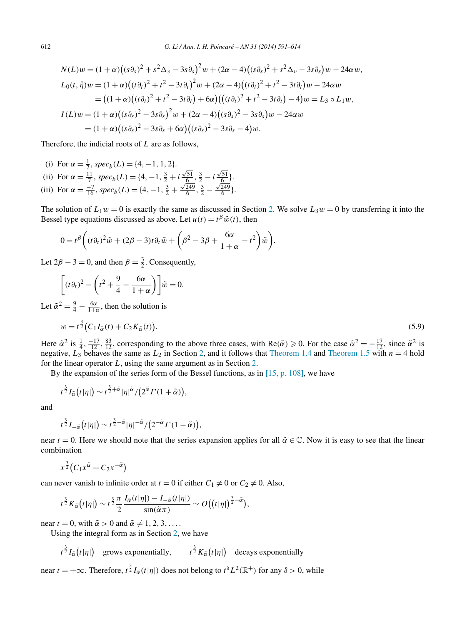$$
N(L)w = (1+\alpha)\left((s\partial_s)^2 + s^2\Delta_v - 3s\partial_s\right)^2 w + (2\alpha - 4)\left((s\partial_s)^2 + s^2\Delta_v - 3s\partial_s\right)w - 24\alpha w,
$$
  
\n
$$
L_0(t, \hat{\eta})w = (1+\alpha)\left((t\partial_t)^2 + t^2 - 3t\partial_t\right)^2 w + (2\alpha - 4)\left((t\partial_t)^2 + t^2 - 3t\partial_t\right)w - 24\alpha w
$$
  
\n
$$
= \left((1+\alpha)\left((t\partial_t)^2 + t^2 - 3t\partial_t\right) + 6\alpha\right)\left(\left((t\partial_t)^2 + t^2 - 3t\partial_t\right) - 4\right)w = L_3 \circ L_1 w,
$$
  
\n
$$
I(L)w = (1+\alpha)\left((s\partial_s)^2 - 3s\partial_s\right)^2 w + (2\alpha - 4)\left((s\partial_s)^2 - 3s\partial_s\right)w - 24\alpha w
$$
  
\n
$$
= (1+\alpha)\left((s\partial_s)^2 - 3s\partial_s + 6\alpha\right)\left((s\partial_s)^2 - 3s\partial_s - 4\right)w.
$$

Therefore, the indicial roots of *L* are as follows,

(i) For 
$$
\alpha = \frac{1}{2}
$$
,  $spec_b(L) = \{4, -1, 1, 2\}$ .  
\n(ii) For  $\alpha = \frac{11}{7}$ ,  $spec_b(L) = \{4, -1, \frac{3}{2} + i\frac{\sqrt{51}}{6}, \frac{3}{2} - i\frac{\sqrt{51}}{6}\}$ .  
\n(iii) For  $\alpha = \frac{-7}{16}$ ,  $spec_b(L) = \{4, -1, \frac{3}{2} + \frac{\sqrt{249}}{6}, \frac{3}{2} - \frac{\sqrt{249}}{6}\}$ .

The solution of  $L_1w = 0$  is exactly the same as discussed in Section [2.](#page-4-0) We solve  $L_3w = 0$  by transferring it into the Bessel type equations discussed as above. Let  $u(t) = t^{\beta} \tilde{w}(t)$ , then

$$
0 = t^{\beta} \bigg( (t \partial_t)^2 \tilde{w} + (2\beta - 3)t \partial_t \tilde{w} + \bigg( \beta^2 - 3\beta + \frac{6\alpha}{1 + \alpha} - t^2 \bigg) \tilde{w} \bigg).
$$

Let  $2\beta - 3 = 0$ , and then  $\beta = \frac{3}{2}$ . Consequently,

$$
\[ (t \partial_t)^2 - \left( t^2 + \frac{9}{4} - \frac{6\alpha}{1 + \alpha} \right) \] \tilde{w} = 0.
$$

Let  $\tilde{\alpha}^2 = \frac{9}{4} - \frac{6\alpha}{1+\alpha}$ , then the solution is

$$
w = t^{\frac{3}{2}} \big( C_1 I_{\tilde{\alpha}}(t) + C_2 K_{\tilde{\alpha}}(t) \big). \tag{5.9}
$$

Here  $\tilde{\alpha}^2$  is  $\frac{1}{4}$ ,  $\frac{-17}{12}$ ,  $\frac{83}{12}$ , corresponding to the above three cases, with Re( $\tilde{\alpha}$ )  $\geq 0$ . For the case  $\tilde{\alpha}^2 = -\frac{17}{12}$ , since  $\tilde{\alpha}^2$  is negative,  $L_3$  behaves the same as  $L_2$  in Section [2,](#page-4-0) and it follows that [Theorem 1.4](#page-3-0) and [Theorem 1.5](#page-4-0) with  $n = 4$  hold for the linear operator *L*, using the same argument as in Section [2.](#page-4-0)

By the expansion of the series form of the Bessel functions, as in  $[15, p. 108]$ , we have

$$
t^{\frac{3}{2}}I_{\tilde{\alpha}}(t|\eta|)\sim t^{\frac{3}{2}+\tilde{\alpha}}|\eta|^{\tilde{\alpha}}/(2^{\tilde{\alpha}}\Gamma(1+\tilde{\alpha})),
$$

and

$$
t^{\frac{3}{2}}I_{-\tilde{\alpha}}(t|\eta|) \sim t^{\frac{3}{2}-\tilde{\alpha}}|\eta|^{-\tilde{\alpha}}/(2^{-\tilde{\alpha}}\Gamma(1-\tilde{\alpha})),
$$

near  $t = 0$ . Here we should note that the series expansion applies for all  $\tilde{\alpha} \in \mathbb{C}$ . Now it is easy to see that the linear combination

$$
x^{\frac{3}{2}}(C_1x^{\tilde{\alpha}}+C_2x^{-\tilde{\alpha}})
$$

can never vanish to infinite order at  $t = 0$  if either  $C_1 \neq 0$  or  $C_2 \neq 0$ . Also,

$$
t^{\frac{3}{2}}K_{\tilde{\alpha}}(t|\eta|)\sim t^{\frac{3}{2}}\frac{\pi}{2}\frac{I_{\tilde{\alpha}}(t|\eta|)-I_{-\tilde{\alpha}}(t|\eta|)}{\sin(\tilde{\alpha}\pi)}\sim O((t|\eta|)^{\frac{3}{2}-\tilde{\alpha}}),
$$

near  $t = 0$ , with  $\tilde{\alpha} > 0$  and  $\tilde{\alpha} \neq 1, 2, 3, \ldots$ .

Using the integral form as in Section [2,](#page-4-0) we have

*t*<sup> $\frac{3}{2}$ </sup>*I*<sub>α</sub>̃ $(t|\eta|)$  grows exponentially,  $t^{\frac{3}{2}} K_{\alpha}(t|\eta|)$  decays exponentially

near  $t = +\infty$ . Therefore,  $t^{\frac{3}{2}}I_{\tilde{\alpha}}(t|\eta|)$  does not belong to  $t^{\delta}L^2(\mathbb{R}^+)$  for any  $\delta > 0$ , while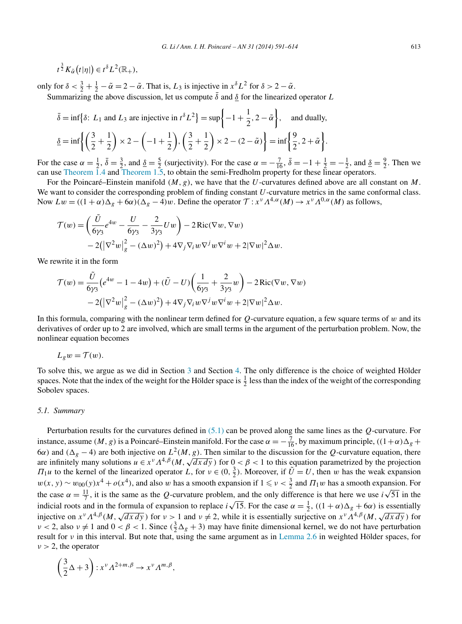$$
t^{\frac{3}{2}}K_{\tilde\alpha}\big(t|\eta|\big)\in t^{\delta}L^2(\mathbb{R}_+),
$$

only for  $\delta < \frac{3}{2} + \frac{1}{2} - \tilde{\alpha} = 2 - \tilde{\alpha}$ . That is, *L*<sub>3</sub> is injective in  $x^{\delta}L^2$  for  $\delta > 2 - \tilde{\alpha}$ . Summarizing the above discussion, let us compute  $\bar{\delta}$  and  $\delta$  for the linearized operator *L* 

$$
\bar{\delta} = \inf \{ \delta \colon L_1 \text{ and } L_3 \text{ are injective in } t^{\delta} L^2 \} = \sup \left\{ -1 + \frac{1}{2}, 2 - \tilde{\alpha} \right\}, \text{ and dually,}
$$

$$
\underline{\delta} = \inf \left\{ \left( \frac{3}{2} + \frac{1}{2} \right) \times 2 - \left( -1 + \frac{1}{2} \right), \left( \frac{3}{2} + \frac{1}{2} \right) \times 2 - (2 - \tilde{\alpha}) \right\} = \inf \left\{ \frac{9}{2}, 2 + \tilde{\alpha} \right\}.
$$

For the case  $\alpha = \frac{1}{2}$ ,  $\bar{\delta} = \frac{3}{2}$ , and  $\underline{\delta} = \frac{5}{2}$  (surjectivity). For the case  $\alpha = -\frac{7}{16}$ ,  $\bar{\delta} = -1 + \frac{1}{2} = -\frac{1}{2}$ , and  $\underline{\delta} = \frac{9}{2}$ . Then we can use [Theorem 1.4](#page-3-0) and [Theorem 1.5,](#page-4-0) to obtain the semi-Fredholm property for these linear operators.

For the Poincaré–Einstein manifold *(M, g)*, we have that the *U*-curvatures defined above are all constant on *M*. We want to consider the corresponding problem of finding constant *U*-curvature metrics in the same conformal class. Now *Lw* =  $((1 + α)Δ<sub>g</sub> + 6α)(Δ<sub>g</sub> − 4)w$ . Define the operator  $\mathcal{T} : x^ν A<sup>4,α</sup>(M) → x<sup>ν</sup> A<sup>0,α</sup>(M)$  as follows,

$$
\mathcal{T}(w) = \left(\frac{\tilde{U}}{6\gamma_3}e^{4w} - \frac{U}{6\gamma_3} - \frac{2}{3\gamma_3}Uw\right) - 2\operatorname{Ric}(\nabla w, \nabla w) \n- 2(|\nabla^2 w|_g^2 - (\Delta w)^2) + 4\nabla_j \nabla_i w \nabla^j w \nabla^i w + 2|\nabla w|^2 \Delta w.
$$

We rewrite it in the form

$$
\mathcal{T}(w) = \frac{\tilde{U}}{6\gamma_3} \left(e^{4w} - 1 - 4w\right) + (\tilde{U} - U) \left(\frac{1}{6\gamma_3} + \frac{2}{3\gamma_3} w\right) - 2 \operatorname{Ric}(\nabla w, \nabla w) \n- 2\left(\left|\nabla^2 w\right|_g^2 - (\Delta w)^2\right) + 4 \nabla_j \nabla_i w \nabla^j w \nabla^i w + 2|\nabla w|^2 \Delta w.
$$

In this formula, comparing with the nonlinear term defined for *Q*-curvature equation, a few square terms of *w* and its derivatives of order up to 2 are involved, which are small terms in the argument of the perturbation problem. Now, the nonlinear equation becomes

$$
L_g w = \mathcal{T}(w).
$$

To solve this, we argue as we did in Section [3](#page-12-0) and Section [4.](#page-16-0) The only difference is the choice of weighted Hölder spaces. Note that the index of the weight for the Hölder space is  $\frac{1}{2}$  less than the index of the weight of the corresponding Sobolev spaces.

#### *5.1. Summary*

Perturbation results for the curvatures defined in [\(5.1\)](#page-18-0) can be proved along the same lines as the *Q*-curvature. For instance, assume  $(M, g)$  is a Poincaré–Einstein manifold. For the case  $\alpha = -\frac{7}{16}$ , by maximum principle,  $((1 + \alpha)\Delta_g +$  $6\alpha$ ) and (Δ<sub>g</sub> – 4) are both injective on  $L^2(M, g)$ . Then similar to the discussion for the *Q*-curvature equation, there are infinitely many solutions  $u \in x^{\nu} \Lambda^{4,\beta}(M, \sqrt{dx \, dy})$  for  $0 < \beta < 1$  to this equation parametrized by the projection *Π*<sub>1</sub>*u* to the kernel of the linearized operator *L*, for *ν* ∈ (0,  $\frac{3}{2}$ ). Moreover, if  $\tilde{U} = U$ , then *w* has the weak expansion  $w(x, y) \sim w_{00}(y)x^4 + o(x^4)$ , and also *w* has a smooth expansion if  $1 \le v < \frac{3}{2}$  and  $\Pi_1 w$  has a smooth expansion. For the case  $\alpha = \frac{11}{7}$ , it is the same as the *Q*-curvature problem, and the only difference is that here we use  $i\sqrt{51}$  in the indicial roots and in the formula of expansion to replace  $i\sqrt{15}$ . For the case  $\alpha = \frac{1}{2}$ ,  $((1 + \alpha)\Delta_g + 6\alpha)$  is essentially injective on  $x^{\nu} A^{4,\beta}(M, \sqrt{dx\,dy})$  for  $\nu > 1$  and  $\nu \neq 2$ , while it is essentially surjective on  $x^{\nu} A^{4,\beta}(M, \sqrt{dx\,dy})$  for  $\nu < 2$ , also  $\nu \neq 1$  and  $0 < \beta < 1$ . Since  $(\frac{3}{2}\Delta_g + 3)$  may have finite dimensional kernel, we do not have perturbation result for *ν* in this interval. But note that, using the same argument as in [Lemma 2.6](#page-11-0) in weighted Hölder spaces, for *ν >* 2, the operator

$$
\left(\frac{3}{2}\Delta+3\right):x^{\nu} \Lambda^{2+m,\beta} \to x^{\nu} \Lambda^{m,\beta},
$$